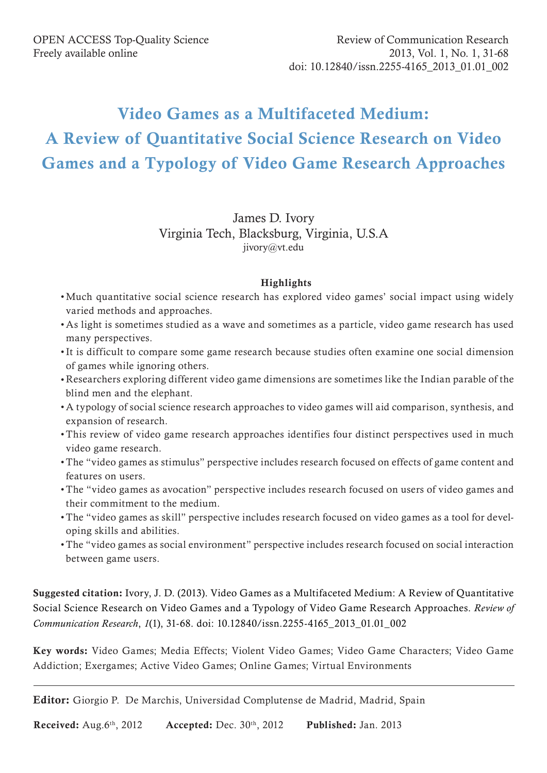# Video Games as a Multifaceted Medium: A Review of Quantitative Social Science Research on Video Games and a Typology of Video Game Research Approaches

# James D. Ivory Virginia Tech, Blacksburg, Virginia, U.S.A jivory@vt.edu

# **Highlights**

- • Much quantitative social science research has explored video games' social impact using widely varied methods and approaches.
- • As light is sometimes studied as a wave and sometimes as a particle, video game research has used many perspectives.
- • It is difficult to compare some game research because studies often examine one social dimension of games while ignoring others.
- • Researchers exploring different video game dimensions are sometimes like the Indian parable of the blind men and the elephant.
- • A typology of social science research approaches to video games will aid comparison, synthesis, and expansion of research.
- This review of video game research approaches identifies four distinct perspectives used in much video game research.
- The "video games as stimulus" perspective includes research focused on effects of game content and features on users.
- The "video games as avocation" perspective includes research focused on users of video games and their commitment to the medium.
- The "video games as skill" perspective includes research focused on video games as a tool for developing skills and abilities.
- The "video games as social environment" perspective includes research focused on social interaction between game users.

Suggested citation: Ivory, J. D. (2013). Video Games as a Multifaceted Medium: A Review of Quantitative Social Science Research on Video Games and a Typology of Video Game Research Approaches. *Review of Communication Research*, *1*(1), 31-68. doi: 10.12840/issn.2255-4165\_2013\_01.01\_002

Key words: Video Games; Media Effects; Violent Video Games; Video Game Characters; Video Game Addiction; Exergames; Active Video Games; Online Games; Virtual Environments

Editor: Giorgio P. De Marchis, Universidad Complutense de Madrid, Madrid, Spain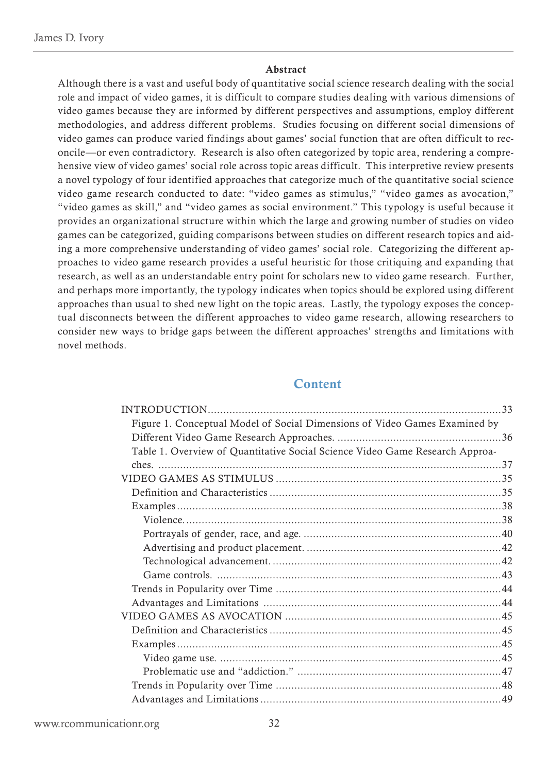#### Abstract

Although there is a vast and useful body of quantitative social science research dealing with the social role and impact of video games, it is difficult to compare studies dealing with various dimensions of video games because they are informed by different perspectives and assumptions, employ different methodologies, and address different problems. Studies focusing on different social dimensions of video games can produce varied findings about games' social function that are often difficult to reconcile—or even contradictory. Research is also often categorized by topic area, rendering a comprehensive view of video games' social role across topic areas difficult. This interpretive review presents a novel typology of four identified approaches that categorize much of the quantitative social science video game research conducted to date: "video games as stimulus," "video games as avocation," "video games as skill," and "video games as social environment." This typology is useful because it provides an organizational structure within which the large and growing number of studies on video games can be categorized, guiding comparisons between studies on different research topics and aiding a more comprehensive understanding of video games' social role. Categorizing the different approaches to video game research provides a useful heuristic for those critiquing and expanding that research, as well as an understandable entry point for scholars new to video game research. Further, and perhaps more importantly, the typology indicates when topics should be explored using different approaches than usual to shed new light on the topic areas. Lastly, the typology exposes the conceptual disconnects between the different approaches to video game research, allowing researchers to consider new ways to bridge gaps between the different approaches' strengths and limitations with novel methods.

# **Content**

| Figure 1. Conceptual Model of Social Dimensions of Video Games Examined by   |  |
|------------------------------------------------------------------------------|--|
|                                                                              |  |
| Table 1. Overview of Quantitative Social Science Video Game Research Approa- |  |
|                                                                              |  |
|                                                                              |  |
|                                                                              |  |
|                                                                              |  |
|                                                                              |  |
|                                                                              |  |
|                                                                              |  |
|                                                                              |  |
|                                                                              |  |
|                                                                              |  |
|                                                                              |  |
|                                                                              |  |
|                                                                              |  |
|                                                                              |  |
|                                                                              |  |
|                                                                              |  |
|                                                                              |  |
|                                                                              |  |

www.rcommunicationr.org 32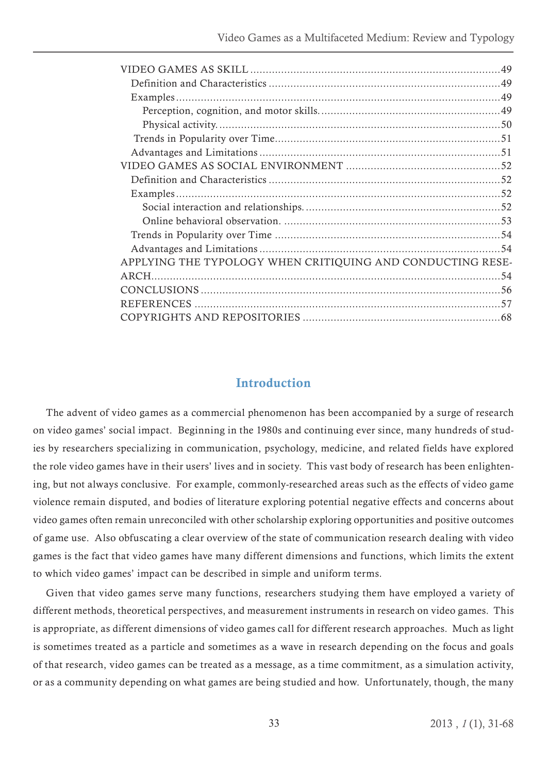<span id="page-2-0"></span>

| APPLYING THE TYPOLOGY WHEN CRITIQUING AND CONDUCTING RESE- |  |
|------------------------------------------------------------|--|
|                                                            |  |
|                                                            |  |
|                                                            |  |
|                                                            |  |
|                                                            |  |

# Introduction

The advent of video games as a commercial phenomenon has been accompanied by a surge of research on video games' social impact. Beginning in the 1980s and continuing ever since, many hundreds of studies by researchers specializing in communication, psychology, medicine, and related fields have explored the role video games have in their users' lives and in society. This vast body of research has been enlightening, but not always conclusive. For example, commonly-researched areas such as the effects of video game violence remain disputed, and bodies of literature exploring potential negative effects and concerns about video games often remain unreconciled with other scholarship exploring opportunities and positive outcomes of game use. Also obfuscating a clear overview of the state of communication research dealing with video games is the fact that video games have many different dimensions and functions, which limits the extent to which video games' impact can be described in simple and uniform terms.

Given that video games serve many functions, researchers studying them have employed a variety of different methods, theoretical perspectives, and measurement instruments in research on video games. This is appropriate, as different dimensions of video games call for different research approaches. Much as light is sometimes treated as a particle and sometimes as a wave in research depending on the focus and goals of that research, video games can be treated as a message, as a time commitment, as a simulation activity, or as a community depending on what games are being studied and how. Unfortunately, though, the many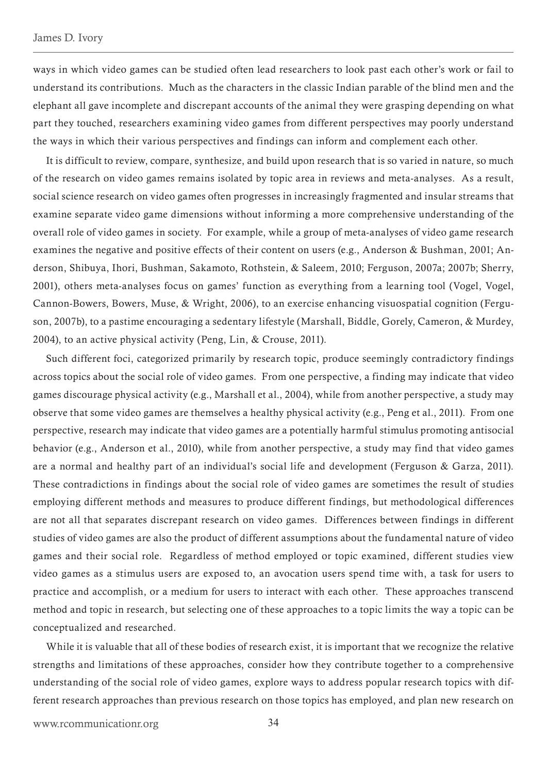ways in which video games can be studied often lead researchers to look past each other's work or fail to understand its contributions. Much as the characters in the classic Indian parable of the blind men and the elephant all gave incomplete and discrepant accounts of the animal they were grasping depending on what part they touched, researchers examining video games from different perspectives may poorly understand the ways in which their various perspectives and findings can inform and complement each other.

It is difficult to review, compare, synthesize, and build upon research that is so varied in nature, so much of the research on video games remains isolated by topic area in reviews and meta-analyses. As a result, social science research on video games often progresses in increasingly fragmented and insular streams that examine separate video game dimensions without informing a more comprehensive understanding of the overall role of video games in society. For example, while a group of meta-analyses of video game research examines the negative and positive effects of their content on users (e.g., Anderson & Bushman, 2001; Anderson, Shibuya, Ihori, Bushman, Sakamoto, Rothstein, & Saleem, 2010; Ferguson, 2007a; 2007b; Sherry, 2001), others meta-analyses focus on games' function as everything from a learning tool (Vogel, Vogel, Cannon-Bowers, Bowers, Muse, & Wright, 2006), to an exercise enhancing visuospatial cognition (Ferguson, 2007b), to a pastime encouraging a sedentary lifestyle (Marshall, Biddle, Gorely, Cameron, & Murdey, 2004), to an active physical activity (Peng, Lin, & Crouse, 2011).

Such different foci, categorized primarily by research topic, produce seemingly contradictory findings across topics about the social role of video games. From one perspective, a finding may indicate that video games discourage physical activity (e.g., Marshall et al., 2004), while from another perspective, a study may observe that some video games are themselves a healthy physical activity (e.g., Peng et al., 2011). From one perspective, research may indicate that video games are a potentially harmful stimulus promoting antisocial behavior (e.g., Anderson et al., 2010), while from another perspective, a study may find that video games are a normal and healthy part of an individual's social life and development (Ferguson & Garza, 2011). These contradictions in findings about the social role of video games are sometimes the result of studies employing different methods and measures to produce different findings, but methodological differences are not all that separates discrepant research on video games. Differences between findings in different studies of video games are also the product of different assumptions about the fundamental nature of video games and their social role. Regardless of method employed or topic examined, different studies view video games as a stimulus users are exposed to, an avocation users spend time with, a task for users to practice and accomplish, or a medium for users to interact with each other. These approaches transcend method and topic in research, but selecting one of these approaches to a topic limits the way a topic can be conceptualized and researched.

While it is valuable that all of these bodies of research exist, it is important that we recognize the relative strengths and limitations of these approaches, consider how they contribute together to a comprehensive understanding of the social role of video games, explore ways to address popular research topics with different research approaches than previous research on those topics has employed, and plan new research on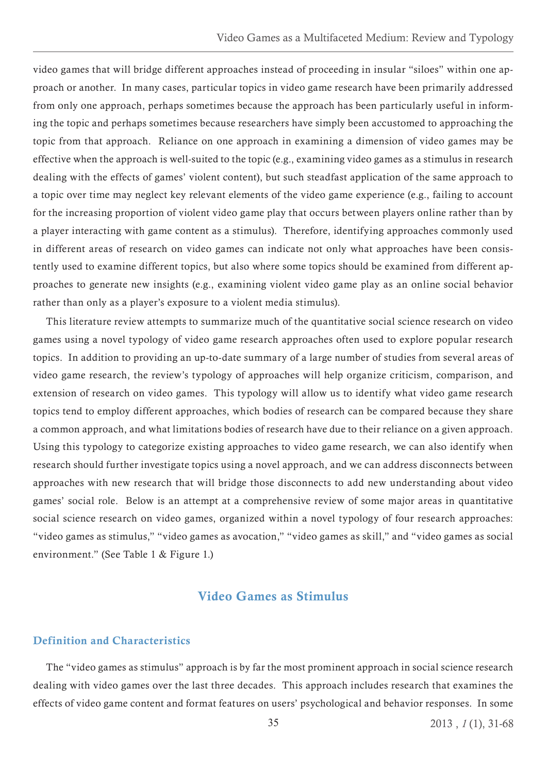<span id="page-4-0"></span>video games that will bridge different approaches instead of proceeding in insular "siloes" within one approach or another. In many cases, particular topics in video game research have been primarily addressed from only one approach, perhaps sometimes because the approach has been particularly useful in informing the topic and perhaps sometimes because researchers have simply been accustomed to approaching the topic from that approach. Reliance on one approach in examining a dimension of video games may be effective when the approach is well-suited to the topic (e.g., examining video games as a stimulus in research dealing with the effects of games' violent content), but such steadfast application of the same approach to a topic over time may neglect key relevant elements of the video game experience (e.g., failing to account for the increasing proportion of violent video game play that occurs between players online rather than by a player interacting with game content as a stimulus). Therefore, identifying approaches commonly used in different areas of research on video games can indicate not only what approaches have been consistently used to examine different topics, but also where some topics should be examined from different approaches to generate new insights (e.g., examining violent video game play as an online social behavior rather than only as a player's exposure to a violent media stimulus).

This literature review attempts to summarize much of the quantitative social science research on video games using a novel typology of video game research approaches often used to explore popular research topics. In addition to providing an up-to-date summary of a large number of studies from several areas of video game research, the review's typology of approaches will help organize criticism, comparison, and extension of research on video games. This typology will allow us to identify what video game research topics tend to employ different approaches, which bodies of research can be compared because they share a common approach, and what limitations bodies of research have due to their reliance on a given approach. Using this typology to categorize existing approaches to video game research, we can also identify when research should further investigate topics using a novel approach, and we can address disconnects between approaches with new research that will bridge those disconnects to add new understanding about video games' social role. Below is an attempt at a comprehensive review of some major areas in quantitative social science research on video games, organized within a novel typology of four research approaches: "video games as stimulus," "video games as avocation," "video games as skill," and "video games as social environment." (See Table 1 & Figure 1.)

# Video Games as Stimulus

# Definition and Characteristics

The "video games as stimulus" approach is by far the most prominent approach in social science research dealing with video games over the last three decades. This approach includes research that examines the effects of video game content and format features on users' psychological and behavior responses. In some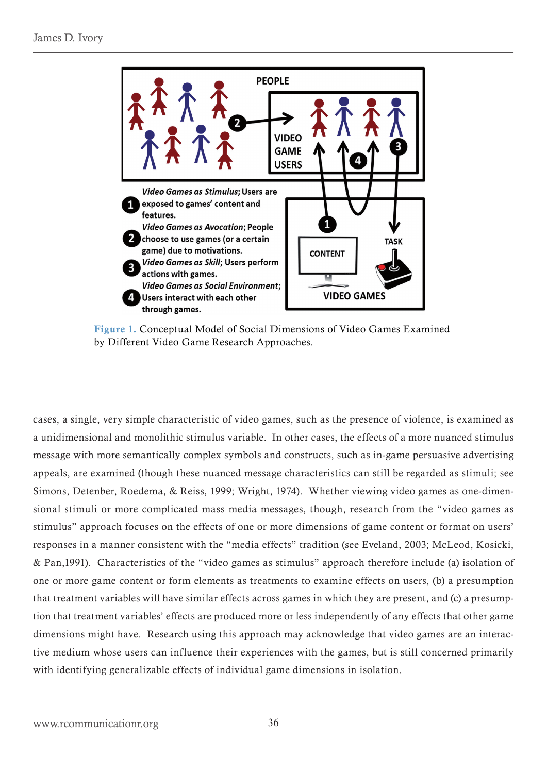<span id="page-5-0"></span>

Figure 1. Conceptual Model of Social Dimensions of Video Games Examined by Different Video Game Research Approaches.

cases, a single, very simple characteristic of video games, such as the presence of violence, is examined as a unidimensional and monolithic stimulus variable. In other cases, the effects of a more nuanced stimulus message with more semantically complex symbols and constructs, such as in-game persuasive advertising appeals, are examined (though these nuanced message characteristics can still be regarded as stimuli; see Simons, Detenber, Roedema, & Reiss, 1999; Wright, 1974). Whether viewing video games as one-dimensional stimuli or more complicated mass media messages, though, research from the "video games as stimulus" approach focuses on the effects of one or more dimensions of game content or format on users' responses in a manner consistent with the "media effects" tradition (see Eveland, 2003; McLeod, Kosicki, & Pan,1991). Characteristics of the "video games as stimulus" approach therefore include (a) isolation of one or more game content or form elements as treatments to examine effects on users, (b) a presumption that treatment variables will have similar effects across games in which they are present, and (c) a presumption that treatment variables' effects are produced more or less independently of any effects that other game dimensions might have. Research using this approach may acknowledge that video games are an interactive medium whose users can influence their experiences with the games, but is still concerned primarily with identifying generalizable effects of individual game dimensions in isolation.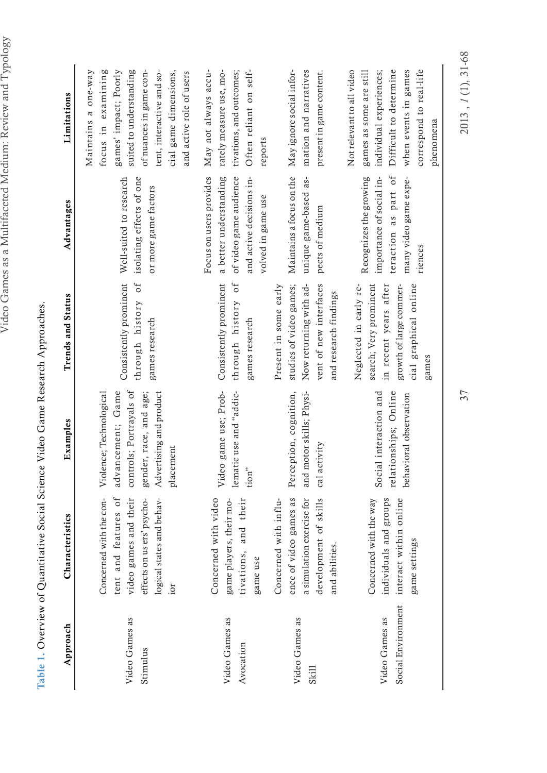<span id="page-6-0"></span>

| I                        | J<br>$\overline{a}$<br>١<br>Í<br>I<br>I<br>₹<br>δ<br>i<br>Š<br>١<br>ı<br>I<br>j<br>I<br>١ |
|--------------------------|-------------------------------------------------------------------------------------------|
|                          | 1<br>I<br>I<br>١<br>١<br>ï                                                                |
|                          | ł                                                                                         |
| 1                        | I<br>Í<br>Í<br>Í                                                                          |
|                          |                                                                                           |
|                          | י                                                                                         |
| ţ                        | ١<br>١<br>I<br>I<br>I<br>I<br>í<br>י<br>$\overline{\phantom{a}}$<br>I<br>ı                |
|                          | ¢<br>S                                                                                    |
|                          | ţ<br>$\frac{1}{2}$<br>ı                                                                   |
| $\overline{\mathcal{L}}$ | I<br>)<br>֚֓<br>١<br>l<br>Í<br>Í<br>∖                                                     |
| Ī<br>I                   | ١<br>١<br>I                                                                               |

| Approach                             | Characteristics                                                                                                                            | Examples                                                                                                                                  | <b>Trends and Status</b>                                                                                                               | Advantages                                                                                                                    | Limitations                                                                                                                                                                                                |
|--------------------------------------|--------------------------------------------------------------------------------------------------------------------------------------------|-------------------------------------------------------------------------------------------------------------------------------------------|----------------------------------------------------------------------------------------------------------------------------------------|-------------------------------------------------------------------------------------------------------------------------------|------------------------------------------------------------------------------------------------------------------------------------------------------------------------------------------------------------|
| Video Games as<br>Stimulus           | tent and features of<br>logical states and behav-<br>video games and their<br>effects on us ers' psycho-<br>Concerned with the con-<br>ior | controls; Portrayals of<br>advancement; Game<br>Advertising and product<br>Violence; Technological<br>gender, race, and age;<br>placement | through history of<br>Consistently prominent<br>games research                                                                         | Well-suited to research<br>isolating effects of one<br>or more game factors                                                   | focus in examining<br>suited to understanding<br>Maintains a one-way<br>games' impact; Poorly<br>tent, interactive and so-<br>of nuances in game con-<br>cial game dimensions,<br>and active role of users |
| Video Games as<br>Avocation          | Concerned with video<br>tivations, and their<br>game players, their mo-<br>game use                                                        | Video game use; Prob-<br>lematic use and "addic-<br>tion"                                                                                 | Consistently prominent<br>0f<br>through history<br>games research                                                                      | Focus on users provides<br>a better understanding<br>of video game audience<br>and active decisions in-<br>volved in game use | May not always accu-<br>rately measure use, mo-<br>tivations, and outcomes;<br>Often reliant on self-<br>reports                                                                                           |
| Video Games as<br>Skill              | a simulation exercise for<br>development of skills<br>Concerned with influ-<br>ence of video games as<br>and abilities.                    | Perception, cognition,<br>and motor skills; Physi-<br>activity<br>$_{\rm cal}$                                                            | studies of video games;<br>Now returning with ad-<br>vent of new interfaces<br>Present in some early<br>and research findings          | Maintains a focus on the<br>unique game-based as-<br>pects of medium                                                          | mation and narratives<br>May ignore social infor-<br>present in game content.                                                                                                                              |
| Social Environment<br>Video Games as | interact within online<br>individuals and groups<br>Concerned with the way<br>game settings                                                | Social interaction and<br>lationships; Online<br>behavioral observation<br>rel                                                            | Neglected in early re-<br>search; Very prominent<br>cial graphical online<br>in recent years after<br>growth of large commer-<br>games | teraction as part of<br>Recognizes the growing<br>importance of social in-<br>many video game expe-<br>riences                | Difficult to determine<br>Not relevant to all video<br>when events in games<br>correspond to real-life<br>games as some are still<br>individual experiences;<br>phenomena                                  |

Table 1. Overview of Quantitative Social Science Video Game Research Approaches. Table 1. Overview of Quantitative Social Science Video Game Research Approaches.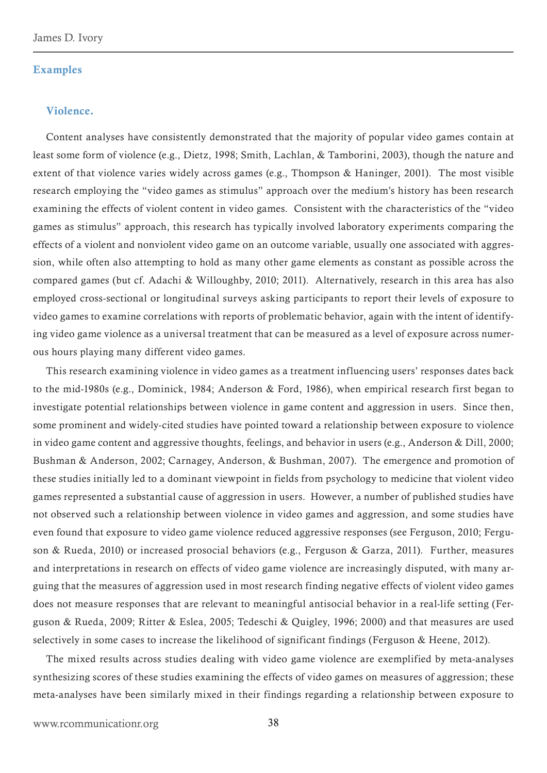#### <span id="page-7-0"></span>Examples

#### Violence.

Content analyses have consistently demonstrated that the majority of popular video games contain at least some form of violence (e.g., Dietz, 1998; Smith, Lachlan, & Tamborini, 2003), though the nature and extent of that violence varies widely across games (e.g., Thompson & Haninger, 2001). The most visible research employing the "video games as stimulus" approach over the medium's history has been research examining the effects of violent content in video games. Consistent with the characteristics of the "video games as stimulus" approach, this research has typically involved laboratory experiments comparing the effects of a violent and nonviolent video game on an outcome variable, usually one associated with aggression, while often also attempting to hold as many other game elements as constant as possible across the compared games (but cf. Adachi & Willoughby, 2010; 2011). Alternatively, research in this area has also employed cross-sectional or longitudinal surveys asking participants to report their levels of exposure to video games to examine correlations with reports of problematic behavior, again with the intent of identifying video game violence as a universal treatment that can be measured as a level of exposure across numerous hours playing many different video games.

This research examining violence in video games as a treatment influencing users' responses dates back to the mid-1980s (e.g., Dominick, 1984; Anderson & Ford, 1986), when empirical research first began to investigate potential relationships between violence in game content and aggression in users. Since then, some prominent and widely-cited studies have pointed toward a relationship between exposure to violence in video game content and aggressive thoughts, feelings, and behavior in users (e.g., Anderson & Dill, 2000; Bushman & Anderson, 2002; Carnagey, Anderson, & Bushman, 2007). The emergence and promotion of these studies initially led to a dominant viewpoint in fields from psychology to medicine that violent video games represented a substantial cause of aggression in users. However, a number of published studies have not observed such a relationship between violence in video games and aggression, and some studies have even found that exposure to video game violence reduced aggressive responses (see Ferguson, 2010; Ferguson & Rueda, 2010) or increased prosocial behaviors (e.g., Ferguson & Garza, 2011). Further, measures and interpretations in research on effects of video game violence are increasingly disputed, with many arguing that the measures of aggression used in most research finding negative effects of violent video games does not measure responses that are relevant to meaningful antisocial behavior in a real-life setting (Ferguson & Rueda, 2009; Ritter & Eslea, 2005; Tedeschi & Quigley, 1996; 2000) and that measures are used selectively in some cases to increase the likelihood of significant findings (Ferguson & Heene, 2012).

The mixed results across studies dealing with video game violence are exemplified by meta-analyses synthesizing scores of these studies examining the effects of video games on measures of aggression; these meta-analyses have been similarly mixed in their findings regarding a relationship between exposure to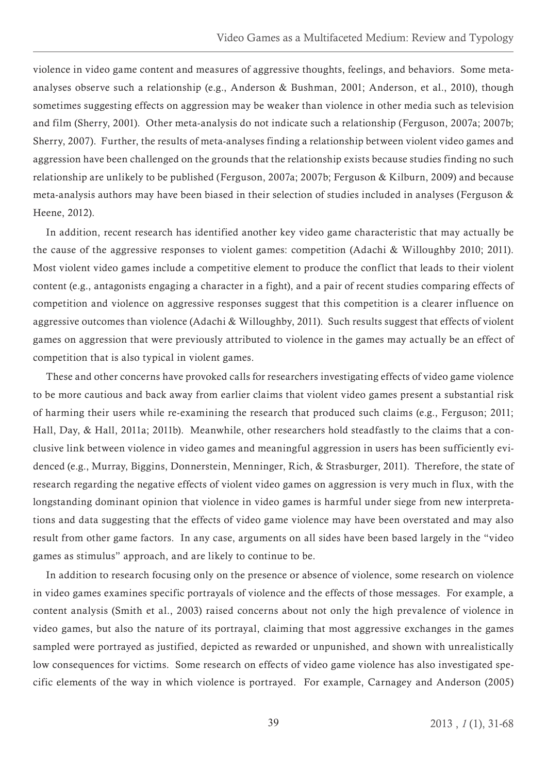violence in video game content and measures of aggressive thoughts, feelings, and behaviors. Some metaanalyses observe such a relationship (e.g., Anderson & Bushman, 2001; Anderson, et al., 2010), though sometimes suggesting effects on aggression may be weaker than violence in other media such as television and film (Sherry, 2001). Other meta-analysis do not indicate such a relationship (Ferguson, 2007a; 2007b; Sherry, 2007). Further, the results of meta-analyses finding a relationship between violent video games and aggression have been challenged on the grounds that the relationship exists because studies finding no such relationship are unlikely to be published (Ferguson, 2007a; 2007b; Ferguson & Kilburn, 2009) and because meta-analysis authors may have been biased in their selection of studies included in analyses (Ferguson & Heene, 2012).

In addition, recent research has identified another key video game characteristic that may actually be the cause of the aggressive responses to violent games: competition (Adachi & Willoughby 2010; 2011). Most violent video games include a competitive element to produce the conflict that leads to their violent content (e.g., antagonists engaging a character in a fight), and a pair of recent studies comparing effects of competition and violence on aggressive responses suggest that this competition is a clearer influence on aggressive outcomes than violence (Adachi & Willoughby, 2011). Such results suggest that effects of violent games on aggression that were previously attributed to violence in the games may actually be an effect of competition that is also typical in violent games.

These and other concerns have provoked calls for researchers investigating effects of video game violence to be more cautious and back away from earlier claims that violent video games present a substantial risk of harming their users while re-examining the research that produced such claims (e.g., Ferguson; 2011; Hall, Day, & Hall, 2011a; 2011b). Meanwhile, other researchers hold steadfastly to the claims that a conclusive link between violence in video games and meaningful aggression in users has been sufficiently evidenced (e.g., Murray, Biggins, Donnerstein, Menninger, Rich, & Strasburger, 2011). Therefore, the state of research regarding the negative effects of violent video games on aggression is very much in flux, with the longstanding dominant opinion that violence in video games is harmful under siege from new interpretations and data suggesting that the effects of video game violence may have been overstated and may also result from other game factors. In any case, arguments on all sides have been based largely in the "video games as stimulus" approach, and are likely to continue to be.

In addition to research focusing only on the presence or absence of violence, some research on violence in video games examines specific portrayals of violence and the effects of those messages. For example, a content analysis (Smith et al., 2003) raised concerns about not only the high prevalence of violence in video games, but also the nature of its portrayal, claiming that most aggressive exchanges in the games sampled were portrayed as justified, depicted as rewarded or unpunished, and shown with unrealistically low consequences for victims. Some research on effects of video game violence has also investigated specific elements of the way in which violence is portrayed. For example, Carnagey and Anderson (2005)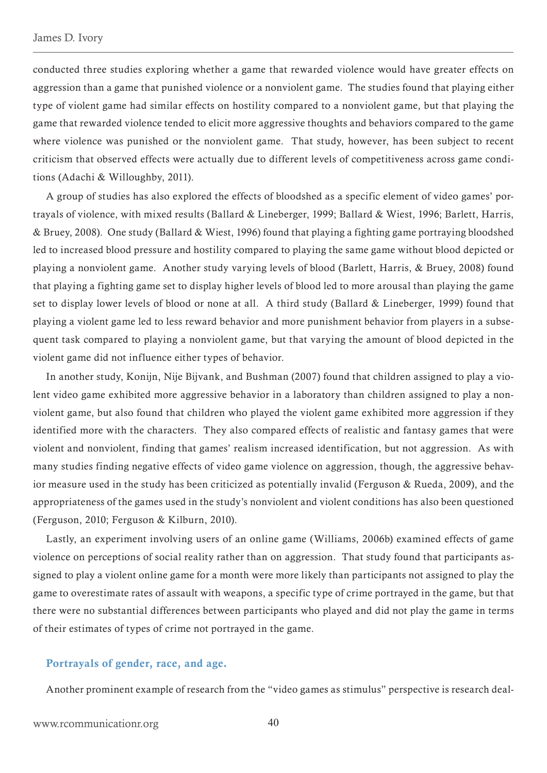<span id="page-9-0"></span>conducted three studies exploring whether a game that rewarded violence would have greater effects on aggression than a game that punished violence or a nonviolent game. The studies found that playing either type of violent game had similar effects on hostility compared to a nonviolent game, but that playing the game that rewarded violence tended to elicit more aggressive thoughts and behaviors compared to the game where violence was punished or the nonviolent game. That study, however, has been subject to recent criticism that observed effects were actually due to different levels of competitiveness across game conditions (Adachi & Willoughby, 2011).

A group of studies has also explored the effects of bloodshed as a specific element of video games' portrayals of violence, with mixed results (Ballard & Lineberger, 1999; Ballard & Wiest, 1996; Barlett, Harris, & Bruey, 2008). One study (Ballard & Wiest, 1996) found that playing a fighting game portraying bloodshed led to increased blood pressure and hostility compared to playing the same game without blood depicted or playing a nonviolent game. Another study varying levels of blood (Barlett, Harris, & Bruey, 2008) found that playing a fighting game set to display higher levels of blood led to more arousal than playing the game set to display lower levels of blood or none at all. A third study (Ballard & Lineberger, 1999) found that playing a violent game led to less reward behavior and more punishment behavior from players in a subsequent task compared to playing a nonviolent game, but that varying the amount of blood depicted in the violent game did not influence either types of behavior.

In another study, Konijn, Nije Bijvank, and Bushman (2007) found that children assigned to play a violent video game exhibited more aggressive behavior in a laboratory than children assigned to play a nonviolent game, but also found that children who played the violent game exhibited more aggression if they identified more with the characters. They also compared effects of realistic and fantasy games that were violent and nonviolent, finding that games' realism increased identification, but not aggression. As with many studies finding negative effects of video game violence on aggression, though, the aggressive behavior measure used in the study has been criticized as potentially invalid (Ferguson & Rueda, 2009), and the appropriateness of the games used in the study's nonviolent and violent conditions has also been questioned (Ferguson, 2010; Ferguson & Kilburn, 2010).

Lastly, an experiment involving users of an online game (Williams, 2006b) examined effects of game violence on perceptions of social reality rather than on aggression. That study found that participants assigned to play a violent online game for a month were more likely than participants not assigned to play the game to overestimate rates of assault with weapons, a specific type of crime portrayed in the game, but that there were no substantial differences between participants who played and did not play the game in terms of their estimates of types of crime not portrayed in the game.

## Portrayals of gender, race, and age.

Another prominent example of research from the "video games as stimulus" perspective is research deal-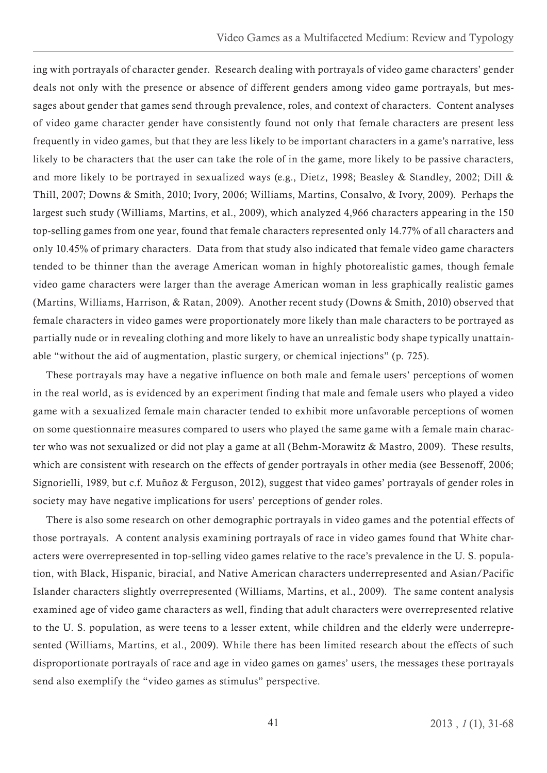ing with portrayals of character gender. Research dealing with portrayals of video game characters' gender deals not only with the presence or absence of different genders among video game portrayals, but messages about gender that games send through prevalence, roles, and context of characters. Content analyses of video game character gender have consistently found not only that female characters are present less frequently in video games, but that they are less likely to be important characters in a game's narrative, less likely to be characters that the user can take the role of in the game, more likely to be passive characters, and more likely to be portrayed in sexualized ways (e.g., Dietz, 1998; Beasley & Standley, 2002; Dill & Thill, 2007; Downs & Smith, 2010; Ivory, 2006; Williams, Martins, Consalvo, & Ivory, 2009). Perhaps the largest such study (Williams, Martins, et al., 2009), which analyzed 4,966 characters appearing in the 150 top-selling games from one year, found that female characters represented only 14.77% of all characters and only 10.45% of primary characters. Data from that study also indicated that female video game characters tended to be thinner than the average American woman in highly photorealistic games, though female video game characters were larger than the average American woman in less graphically realistic games (Martins, Williams, Harrison, & Ratan, 2009). Another recent study (Downs & Smith, 2010) observed that female characters in video games were proportionately more likely than male characters to be portrayed as partially nude or in revealing clothing and more likely to have an unrealistic body shape typically unattainable "without the aid of augmentation, plastic surgery, or chemical injections" (p. 725).

These portrayals may have a negative influence on both male and female users' perceptions of women in the real world, as is evidenced by an experiment finding that male and female users who played a video game with a sexualized female main character tended to exhibit more unfavorable perceptions of women on some questionnaire measures compared to users who played the same game with a female main character who was not sexualized or did not play a game at all (Behm-Morawitz & Mastro, 2009). These results, which are consistent with research on the effects of gender portrayals in other media (see Bessenoff, 2006; Signorielli, 1989, but c.f. Muñoz & Ferguson, 2012), suggest that video games' portrayals of gender roles in society may have negative implications for users' perceptions of gender roles.

There is also some research on other demographic portrayals in video games and the potential effects of those portrayals. A content analysis examining portrayals of race in video games found that White characters were overrepresented in top-selling video games relative to the race's prevalence in the U. S. population, with Black, Hispanic, biracial, and Native American characters underrepresented and Asian/Pacific Islander characters slightly overrepresented (Williams, Martins, et al., 2009). The same content analysis examined age of video game characters as well, finding that adult characters were overrepresented relative to the U. S. population, as were teens to a lesser extent, while children and the elderly were underrepresented (Williams, Martins, et al., 2009). While there has been limited research about the effects of such disproportionate portrayals of race and age in video games on games' users, the messages these portrayals send also exemplify the "video games as stimulus" perspective.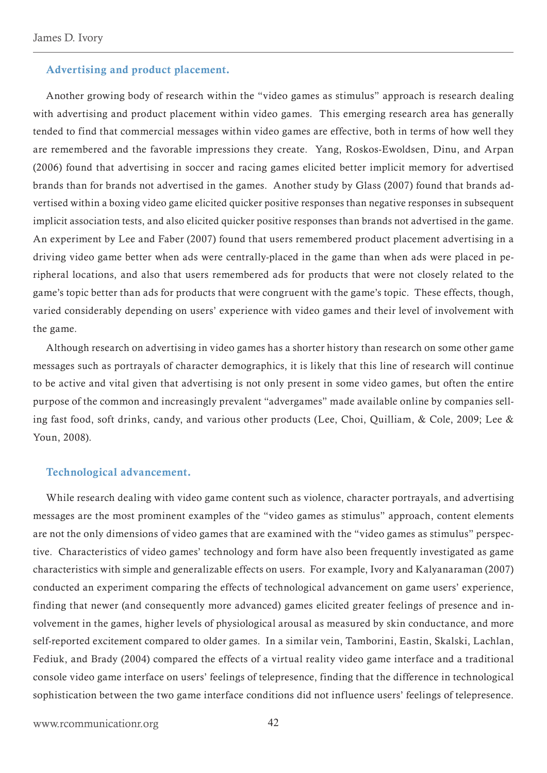### <span id="page-11-0"></span>Advertising and product placement.

Another growing body of research within the "video games as stimulus" approach is research dealing with advertising and product placement within video games. This emerging research area has generally tended to find that commercial messages within video games are effective, both in terms of how well they are remembered and the favorable impressions they create. Yang, Roskos-Ewoldsen, Dinu, and Arpan (2006) found that advertising in soccer and racing games elicited better implicit memory for advertised brands than for brands not advertised in the games. Another study by Glass (2007) found that brands advertised within a boxing video game elicited quicker positive responses than negative responses in subsequent implicit association tests, and also elicited quicker positive responses than brands not advertised in the game. An experiment by Lee and Faber (2007) found that users remembered product placement advertising in a driving video game better when ads were centrally-placed in the game than when ads were placed in peripheral locations, and also that users remembered ads for products that were not closely related to the game's topic better than ads for products that were congruent with the game's topic. These effects, though, varied considerably depending on users' experience with video games and their level of involvement with the game.

Although research on advertising in video games has a shorter history than research on some other game messages such as portrayals of character demographics, it is likely that this line of research will continue to be active and vital given that advertising is not only present in some video games, but often the entire purpose of the common and increasingly prevalent "advergames" made available online by companies selling fast food, soft drinks, candy, and various other products (Lee, Choi, Quilliam, & Cole, 2009; Lee & Youn, 2008).

#### Technological advancement.

While research dealing with video game content such as violence, character portrayals, and advertising messages are the most prominent examples of the "video games as stimulus" approach, content elements are not the only dimensions of video games that are examined with the "video games as stimulus" perspective. Characteristics of video games' technology and form have also been frequently investigated as game characteristics with simple and generalizable effects on users. For example, Ivory and Kalyanaraman (2007) conducted an experiment comparing the effects of technological advancement on game users' experience, finding that newer (and consequently more advanced) games elicited greater feelings of presence and involvement in the games, higher levels of physiological arousal as measured by skin conductance, and more self-reported excitement compared to older games. In a similar vein, Tamborini, Eastin, Skalski, Lachlan, Fediuk, and Brady (2004) compared the effects of a virtual reality video game interface and a traditional console video game interface on users' feelings of telepresence, finding that the difference in technological sophistication between the two game interface conditions did not influence users' feelings of telepresence.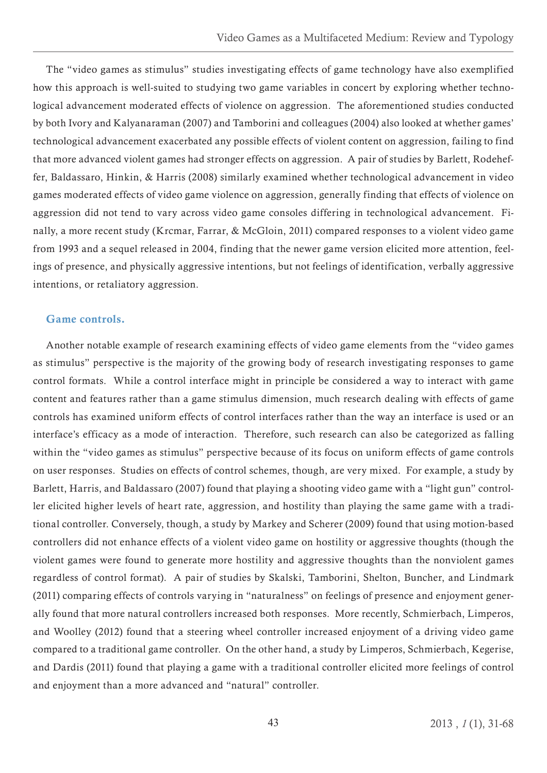<span id="page-12-0"></span>The "video games as stimulus" studies investigating effects of game technology have also exemplified how this approach is well-suited to studying two game variables in concert by exploring whether technological advancement moderated effects of violence on aggression. The aforementioned studies conducted by both Ivory and Kalyanaraman (2007) and Tamborini and colleagues (2004) also looked at whether games' technological advancement exacerbated any possible effects of violent content on aggression, failing to find that more advanced violent games had stronger effects on aggression. A pair of studies by Barlett, Rodeheffer, Baldassaro, Hinkin, & Harris (2008) similarly examined whether technological advancement in video games moderated effects of video game violence on aggression, generally finding that effects of violence on aggression did not tend to vary across video game consoles differing in technological advancement. Finally, a more recent study (Krcmar, Farrar, & McGloin, 2011) compared responses to a violent video game from 1993 and a sequel released in 2004, finding that the newer game version elicited more attention, feelings of presence, and physically aggressive intentions, but not feelings of identification, verbally aggressive intentions, or retaliatory aggression.

# Game controls.

Another notable example of research examining effects of video game elements from the "video games as stimulus" perspective is the majority of the growing body of research investigating responses to game control formats. While a control interface might in principle be considered a way to interact with game content and features rather than a game stimulus dimension, much research dealing with effects of game controls has examined uniform effects of control interfaces rather than the way an interface is used or an interface's efficacy as a mode of interaction. Therefore, such research can also be categorized as falling within the "video games as stimulus" perspective because of its focus on uniform effects of game controls on user responses. Studies on effects of control schemes, though, are very mixed. For example, a study by Barlett, Harris, and Baldassaro (2007) found that playing a shooting video game with a "light gun" controller elicited higher levels of heart rate, aggression, and hostility than playing the same game with a traditional controller. Conversely, though, a study by Markey and Scherer (2009) found that using motion-based controllers did not enhance effects of a violent video game on hostility or aggressive thoughts (though the violent games were found to generate more hostility and aggressive thoughts than the nonviolent games regardless of control format). A pair of studies by Skalski, Tamborini, Shelton, Buncher, and Lindmark (2011) comparing effects of controls varying in "naturalness" on feelings of presence and enjoyment generally found that more natural controllers increased both responses. More recently, Schmierbach, Limperos, and Woolley (2012) found that a steering wheel controller increased enjoyment of a driving video game compared to a traditional game controller. On the other hand, a study by Limperos, Schmierbach, Kegerise, and Dardis (2011) found that playing a game with a traditional controller elicited more feelings of control and enjoyment than a more advanced and "natural" controller.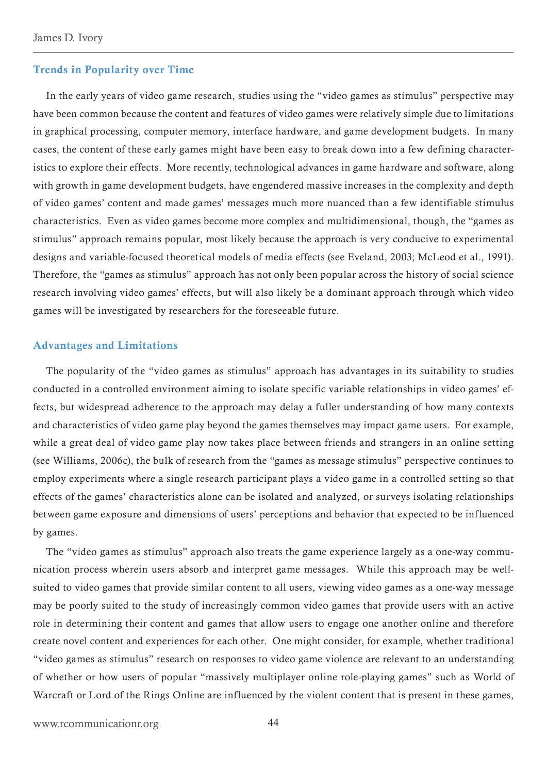#### <span id="page-13-0"></span>Trends in Popularity over Time

In the early years of video game research, studies using the "video games as stimulus" perspective may have been common because the content and features of video games were relatively simple due to limitations in graphical processing, computer memory, interface hardware, and game development budgets. In many cases, the content of these early games might have been easy to break down into a few defining characteristics to explore their effects. More recently, technological advances in game hardware and software, along with growth in game development budgets, have engendered massive increases in the complexity and depth of video games' content and made games' messages much more nuanced than a few identifiable stimulus characteristics. Even as video games become more complex and multidimensional, though, the "games as stimulus" approach remains popular, most likely because the approach is very conducive to experimental designs and variable-focused theoretical models of media effects (see Eveland, 2003; McLeod et al., 1991). Therefore, the "games as stimulus" approach has not only been popular across the history of social science research involving video games' effects, but will also likely be a dominant approach through which video games will be investigated by researchers for the foreseeable future.

### Advantages and Limitations

The popularity of the "video games as stimulus" approach has advantages in its suitability to studies conducted in a controlled environment aiming to isolate specific variable relationships in video games' effects, but widespread adherence to the approach may delay a fuller understanding of how many contexts and characteristics of video game play beyond the games themselves may impact game users. For example, while a great deal of video game play now takes place between friends and strangers in an online setting (see Williams, 2006c), the bulk of research from the "games as message stimulus" perspective continues to employ experiments where a single research participant plays a video game in a controlled setting so that effects of the games' characteristics alone can be isolated and analyzed, or surveys isolating relationships between game exposure and dimensions of users' perceptions and behavior that expected to be influenced by games.

The "video games as stimulus" approach also treats the game experience largely as a one-way communication process wherein users absorb and interpret game messages. While this approach may be wellsuited to video games that provide similar content to all users, viewing video games as a one-way message may be poorly suited to the study of increasingly common video games that provide users with an active role in determining their content and games that allow users to engage one another online and therefore create novel content and experiences for each other. One might consider, for example, whether traditional "video games as stimulus" research on responses to video game violence are relevant to an understanding of whether or how users of popular "massively multiplayer online role-playing games" such as World of Warcraft or Lord of the Rings Online are influenced by the violent content that is present in these games,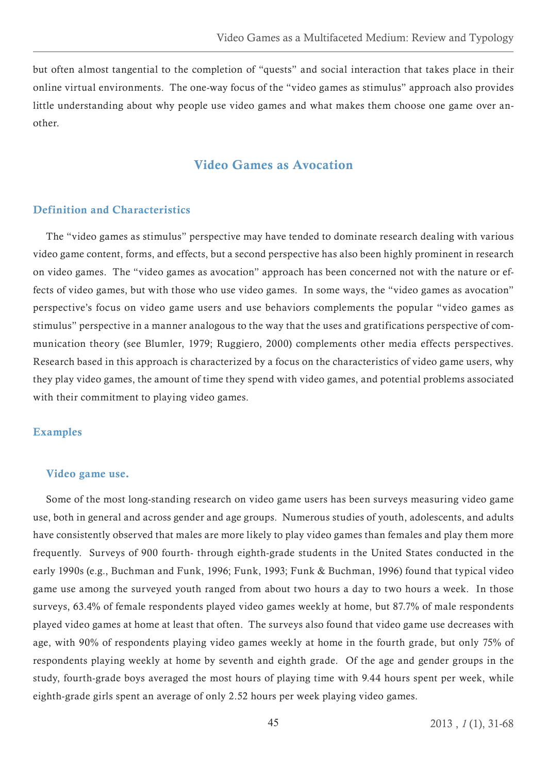<span id="page-14-0"></span>but often almost tangential to the completion of "quests" and social interaction that takes place in their online virtual environments. The one-way focus of the "video games as stimulus" approach also provides little understanding about why people use video games and what makes them choose one game over another.

# Video Games as Avocation

# Definition and Characteristics

The "video games as stimulus" perspective may have tended to dominate research dealing with various video game content, forms, and effects, but a second perspective has also been highly prominent in research on video games. The "video games as avocation" approach has been concerned not with the nature or effects of video games, but with those who use video games. In some ways, the "video games as avocation" perspective's focus on video game users and use behaviors complements the popular "video games as stimulus" perspective in a manner analogous to the way that the uses and gratifications perspective of communication theory (see Blumler, 1979; Ruggiero, 2000) complements other media effects perspectives. Research based in this approach is characterized by a focus on the characteristics of video game users, why they play video games, the amount of time they spend with video games, and potential problems associated with their commitment to playing video games.

#### Examples

#### Video game use.

Some of the most long-standing research on video game users has been surveys measuring video game use, both in general and across gender and age groups. Numerous studies of youth, adolescents, and adults have consistently observed that males are more likely to play video games than females and play them more frequently. Surveys of 900 fourth- through eighth-grade students in the United States conducted in the early 1990s (e.g., Buchman and Funk, 1996; Funk, 1993; Funk & Buchman, 1996) found that typical video game use among the surveyed youth ranged from about two hours a day to two hours a week. In those surveys, 63.4% of female respondents played video games weekly at home, but 87.7% of male respondents played video games at home at least that often. The surveys also found that video game use decreases with age, with 90% of respondents playing video games weekly at home in the fourth grade, but only 75% of respondents playing weekly at home by seventh and eighth grade. Of the age and gender groups in the study, fourth-grade boys averaged the most hours of playing time with 9.44 hours spent per week, while eighth-grade girls spent an average of only 2.52 hours per week playing video games.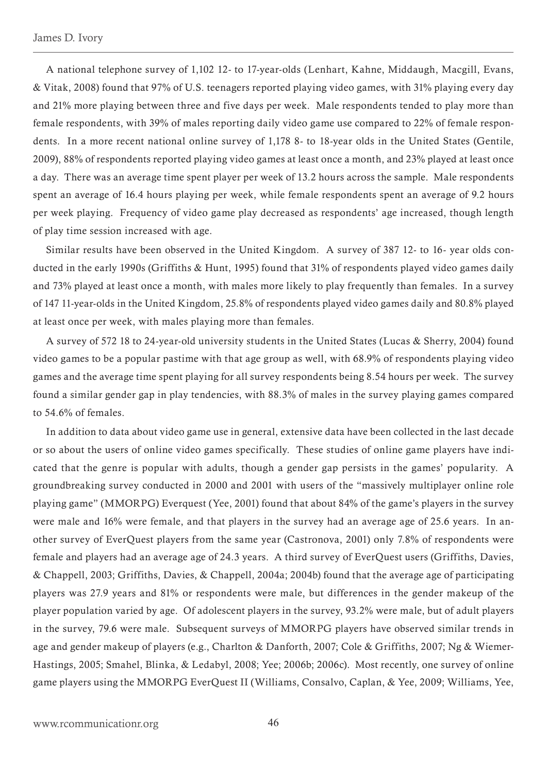A national telephone survey of 1,102 12- to 17-year-olds (Lenhart, Kahne, Middaugh, Macgill, Evans, & Vitak, 2008) found that 97% of U.S. teenagers reported playing video games, with 31% playing every day and 21% more playing between three and five days per week. Male respondents tended to play more than female respondents, with 39% of males reporting daily video game use compared to 22% of female respondents. In a more recent national online survey of 1,178 8- to 18-year olds in the United States (Gentile, 2009), 88% of respondents reported playing video games at least once a month, and 23% played at least once a day. There was an average time spent player per week of 13.2 hours across the sample. Male respondents spent an average of 16.4 hours playing per week, while female respondents spent an average of 9.2 hours per week playing. Frequency of video game play decreased as respondents' age increased, though length of play time session increased with age.

Similar results have been observed in the United Kingdom. A survey of 387 12- to 16- year olds conducted in the early 1990s (Griffiths & Hunt, 1995) found that 31% of respondents played video games daily and 73% played at least once a month, with males more likely to play frequently than females. In a survey of 147 11-year-olds in the United Kingdom, 25.8% of respondents played video games daily and 80.8% played at least once per week, with males playing more than females.

A survey of 572 18 to 24-year-old university students in the United States (Lucas & Sherry, 2004) found video games to be a popular pastime with that age group as well, with 68.9% of respondents playing video games and the average time spent playing for all survey respondents being 8.54 hours per week. The survey found a similar gender gap in play tendencies, with 88.3% of males in the survey playing games compared to 54.6% of females.

In addition to data about video game use in general, extensive data have been collected in the last decade or so about the users of online video games specifically. These studies of online game players have indicated that the genre is popular with adults, though a gender gap persists in the games' popularity. A groundbreaking survey conducted in 2000 and 2001 with users of the "massively multiplayer online role playing game" (MMORPG) Everquest (Yee, 2001) found that about 84% of the game's players in the survey were male and 16% were female, and that players in the survey had an average age of 25.6 years. In another survey of EverQuest players from the same year (Castronova, 2001) only 7.8% of respondents were female and players had an average age of 24.3 years. A third survey of EverQuest users (Griffiths, Davies, & Chappell, 2003; Griffiths, Davies, & Chappell, 2004a; 2004b) found that the average age of participating players was 27.9 years and 81% or respondents were male, but differences in the gender makeup of the player population varied by age. Of adolescent players in the survey, 93.2% were male, but of adult players in the survey, 79.6 were male. Subsequent surveys of MMORPG players have observed similar trends in age and gender makeup of players (e.g., Charlton & Danforth, 2007; Cole & Griffiths, 2007; Ng & Wiemer-Hastings, 2005; Smahel, Blinka, & Ledabyl, 2008; Yee; 2006b; 2006c). Most recently, one survey of online game players using the MMORPG EverQuest II (Williams, Consalvo, Caplan, & Yee, 2009; Williams, Yee,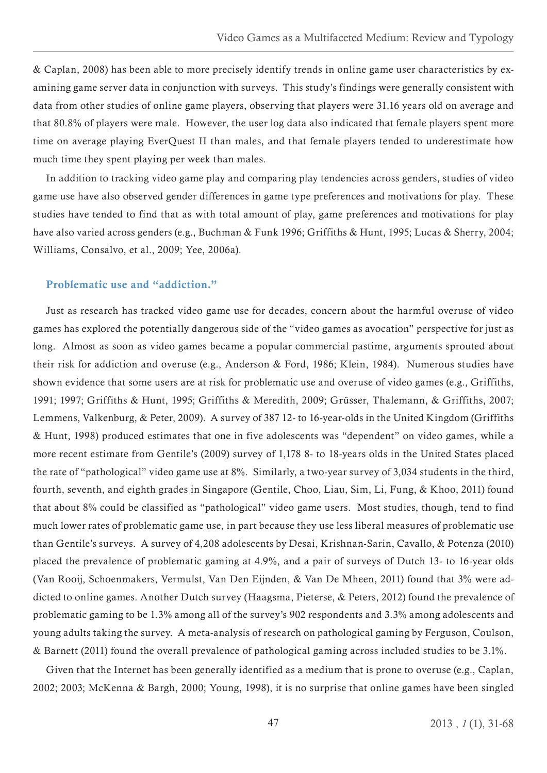<span id="page-16-0"></span>& Caplan, 2008) has been able to more precisely identify trends in online game user characteristics by examining game server data in conjunction with surveys. This study's findings were generally consistent with data from other studies of online game players, observing that players were 31.16 years old on average and that 80.8% of players were male. However, the user log data also indicated that female players spent more time on average playing EverQuest II than males, and that female players tended to underestimate how much time they spent playing per week than males.

In addition to tracking video game play and comparing play tendencies across genders, studies of video game use have also observed gender differences in game type preferences and motivations for play. These studies have tended to find that as with total amount of play, game preferences and motivations for play have also varied across genders (e.g., Buchman & Funk 1996; Griffiths & Hunt, 1995; Lucas & Sherry, 2004; Williams, Consalvo, et al., 2009; Yee, 2006a).

# Problematic use and "addiction."

Just as research has tracked video game use for decades, concern about the harmful overuse of video games has explored the potentially dangerous side of the "video games as avocation" perspective for just as long. Almost as soon as video games became a popular commercial pastime, arguments sprouted about their risk for addiction and overuse (e.g., Anderson & Ford, 1986; Klein, 1984). Numerous studies have shown evidence that some users are at risk for problematic use and overuse of video games (e.g., Griffiths, 1991; 1997; Griffiths & Hunt, 1995; Griffiths & Meredith, 2009; Grüsser, Thalemann, & Griffiths, 2007; Lemmens, Valkenburg, & Peter, 2009). A survey of 387 12- to 16-year-olds in the United Kingdom (Griffiths & Hunt, 1998) produced estimates that one in five adolescents was "dependent" on video games, while a more recent estimate from Gentile's (2009) survey of 1,178 8- to 18-years olds in the United States placed the rate of "pathological" video game use at 8%. Similarly, a two-year survey of 3,034 students in the third, fourth, seventh, and eighth grades in Singapore (Gentile, Choo, Liau, Sim, Li, Fung, & Khoo, 2011) found that about 8% could be classified as "pathological" video game users. Most studies, though, tend to find much lower rates of problematic game use, in part because they use less liberal measures of problematic use than Gentile's surveys. A survey of 4,208 adolescents by Desai, Krishnan-Sarin, Cavallo, & Potenza (2010) placed the prevalence of problematic gaming at 4.9%, and a pair of surveys of Dutch 13- to 16-year olds (Van Rooij, Schoenmakers, Vermulst, Van Den Eijnden, & Van De Mheen, 2011) found that 3% were addicted to online games. Another Dutch survey (Haagsma, Pieterse, & Peters, 2012) found the prevalence of problematic gaming to be 1.3% among all of the survey's 902 respondents and 3.3% among adolescents and young adults taking the survey. A meta-analysis of research on pathological gaming by Ferguson, Coulson, & Barnett (2011) found the overall prevalence of pathological gaming across included studies to be 3.1%.

Given that the Internet has been generally identified as a medium that is prone to overuse (e.g., Caplan, 2002; 2003; McKenna & Bargh, 2000; Young, 1998), it is no surprise that online games have been singled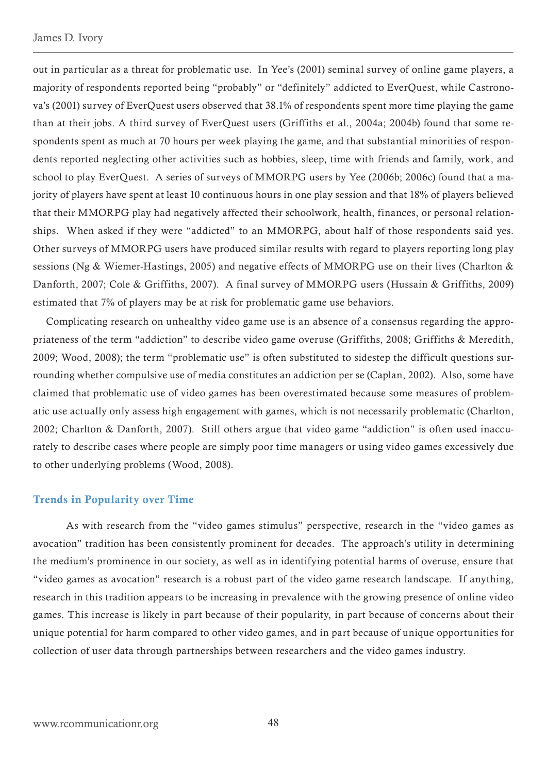<span id="page-17-0"></span>out in particular as a threat for problematic use. In Yee's (2001) seminal survey of online game players, a majority of respondents reported being "probably" or "definitely" addicted to EverQuest, while Castronova's (2001) survey of EverQuest users observed that 38.1% of respondents spent more time playing the game than at their jobs. A third survey of EverQuest users (Griffiths et al., 2004a; 2004b) found that some respondents spent as much at 70 hours per week playing the game, and that substantial minorities of respondents reported neglecting other activities such as hobbies, sleep, time with friends and family, work, and school to play EverQuest. A series of surveys of MMORPG users by Yee (2006b; 2006c) found that a majority of players have spent at least 10 continuous hours in one play session and that 18% of players believed that their MMORPG play had negatively affected their schoolwork, health, finances, or personal relationships. When asked if they were "addicted" to an MMORPG, about half of those respondents said yes. Other surveys of MMORPG users have produced similar results with regard to players reporting long play sessions (Ng & Wiemer-Hastings, 2005) and negative effects of MMORPG use on their lives (Charlton & Danforth, 2007; Cole & Griffiths, 2007). A final survey of MMORPG users (Hussain & Griffiths, 2009) estimated that 7% of players may be at risk for problematic game use behaviors.

Complicating research on unhealthy video game use is an absence of a consensus regarding the appropriateness of the term "addiction" to describe video game overuse (Griffiths, 2008; Griffiths & Meredith, 2009; Wood, 2008); the term "problematic use" is often substituted to sidestep the difficult questions surrounding whether compulsive use of media constitutes an addiction per se (Caplan, 2002). Also, some have claimed that problematic use of video games has been overestimated because some measures of problematic use actually only assess high engagement with games, which is not necessarily problematic (Charlton, 2002; Charlton & Danforth, 2007). Still others argue that video game "addiction" is often used inaccurately to describe cases where people are simply poor time managers or using video games excessively due to other underlying problems (Wood, 2008).

### Trends in Popularity over Time

As with research from the "video games stimulus" perspective, research in the "video games as avocation" tradition has been consistently prominent for decades. The approach's utility in determining the medium's prominence in our society, as well as in identifying potential harms of overuse, ensure that "video games as avocation" research is a robust part of the video game research landscape. If anything, research in this tradition appears to be increasing in prevalence with the growing presence of online video games. This increase is likely in part because of their popularity, in part because of concerns about their unique potential for harm compared to other video games, and in part because of unique opportunities for collection of user data through partnerships between researchers and the video games industry.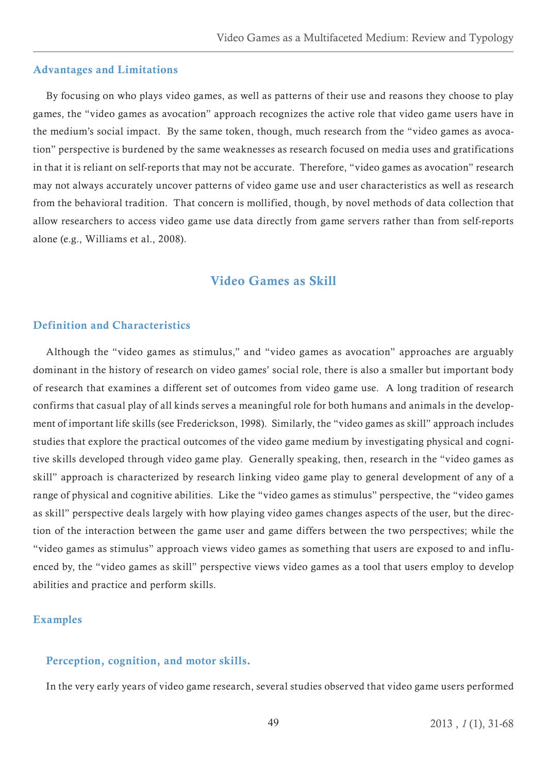### <span id="page-18-0"></span>Advantages and Limitations

By focusing on who plays video games, as well as patterns of their use and reasons they choose to play games, the "video games as avocation" approach recognizes the active role that video game users have in the medium's social impact. By the same token, though, much research from the "video games as avocation" perspective is burdened by the same weaknesses as research focused on media uses and gratifications in that it is reliant on self-reports that may not be accurate. Therefore, "video games as avocation" research may not always accurately uncover patterns of video game use and user characteristics as well as research from the behavioral tradition. That concern is mollified, though, by novel methods of data collection that allow researchers to access video game use data directly from game servers rather than from self-reports alone (e.g., Williams et al., 2008).

# Video Games as Skill

# Definition and Characteristics

Although the "video games as stimulus," and "video games as avocation" approaches are arguably dominant in the history of research on video games' social role, there is also a smaller but important body of research that examines a different set of outcomes from video game use. A long tradition of research confirms that casual play of all kinds serves a meaningful role for both humans and animals in the development of important life skills (see Frederickson, 1998). Similarly, the "video games as skill" approach includes studies that explore the practical outcomes of the video game medium by investigating physical and cognitive skills developed through video game play. Generally speaking, then, research in the "video games as skill" approach is characterized by research linking video game play to general development of any of a range of physical and cognitive abilities. Like the "video games as stimulus" perspective, the "video games as skill" perspective deals largely with how playing video games changes aspects of the user, but the direction of the interaction between the game user and game differs between the two perspectives; while the "video games as stimulus" approach views video games as something that users are exposed to and influenced by, the "video games as skill" perspective views video games as a tool that users employ to develop abilities and practice and perform skills.

# Examples

# Perception, cognition, and motor skills.

In the very early years of video game research, several studies observed that video game users performed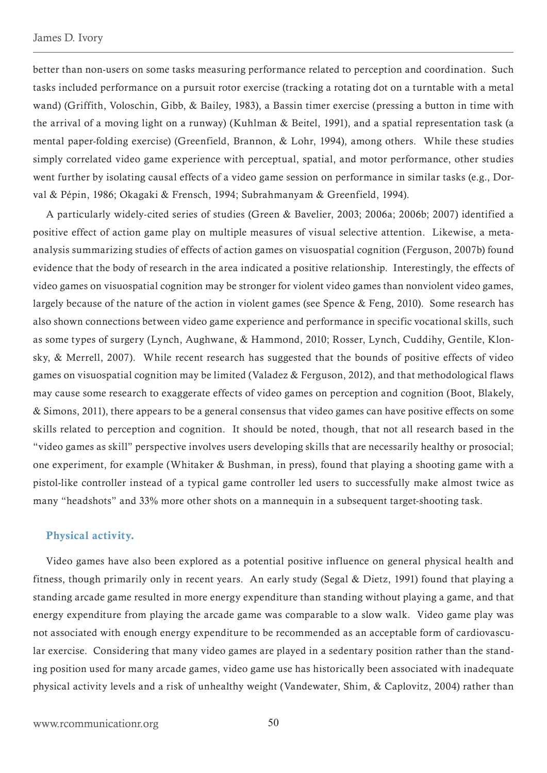<span id="page-19-0"></span>better than non-users on some tasks measuring performance related to perception and coordination. Such tasks included performance on a pursuit rotor exercise (tracking a rotating dot on a turntable with a metal wand) (Griffith, Voloschin, Gibb, & Bailey, 1983), a Bassin timer exercise (pressing a button in time with the arrival of a moving light on a runway) (Kuhlman & Beitel, 1991), and a spatial representation task (a mental paper-folding exercise) (Greenfield, Brannon, & Lohr, 1994), among others. While these studies simply correlated video game experience with perceptual, spatial, and motor performance, other studies went further by isolating causal effects of a video game session on performance in similar tasks (e.g., Dorval & Pépin, 1986; Okagaki & Frensch, 1994; Subrahmanyam & Greenfield, 1994).

A particularly widely-cited series of studies (Green & Bavelier, 2003; 2006a; 2006b; 2007) identified a positive effect of action game play on multiple measures of visual selective attention. Likewise, a metaanalysis summarizing studies of effects of action games on visuospatial cognition (Ferguson, 2007b) found evidence that the body of research in the area indicated a positive relationship. Interestingly, the effects of video games on visuospatial cognition may be stronger for violent video games than nonviolent video games, largely because of the nature of the action in violent games (see Spence & Feng, 2010). Some research has also shown connections between video game experience and performance in specific vocational skills, such as some types of surgery (Lynch, Aughwane, & Hammond, 2010; Rosser, Lynch, Cuddihy, Gentile, Klonsky, & Merrell, 2007). While recent research has suggested that the bounds of positive effects of video games on visuospatial cognition may be limited (Valadez & Ferguson, 2012), and that methodological flaws may cause some research to exaggerate effects of video games on perception and cognition (Boot, Blakely, & Simons, 2011), there appears to be a general consensus that video games can have positive effects on some skills related to perception and cognition. It should be noted, though, that not all research based in the "video games as skill" perspective involves users developing skills that are necessarily healthy or prosocial; one experiment, for example (Whitaker & Bushman, in press), found that playing a shooting game with a pistol-like controller instead of a typical game controller led users to successfully make almost twice as many "headshots" and 33% more other shots on a mannequin in a subsequent target-shooting task.

#### Physical activity.

Video games have also been explored as a potential positive influence on general physical health and fitness, though primarily only in recent years. An early study (Segal & Dietz, 1991) found that playing a standing arcade game resulted in more energy expenditure than standing without playing a game, and that energy expenditure from playing the arcade game was comparable to a slow walk. Video game play was not associated with enough energy expenditure to be recommended as an acceptable form of cardiovascular exercise. Considering that many video games are played in a sedentary position rather than the standing position used for many arcade games, video game use has historically been associated with inadequate physical activity levels and a risk of unhealthy weight (Vandewater, Shim, & Caplovitz, 2004) rather than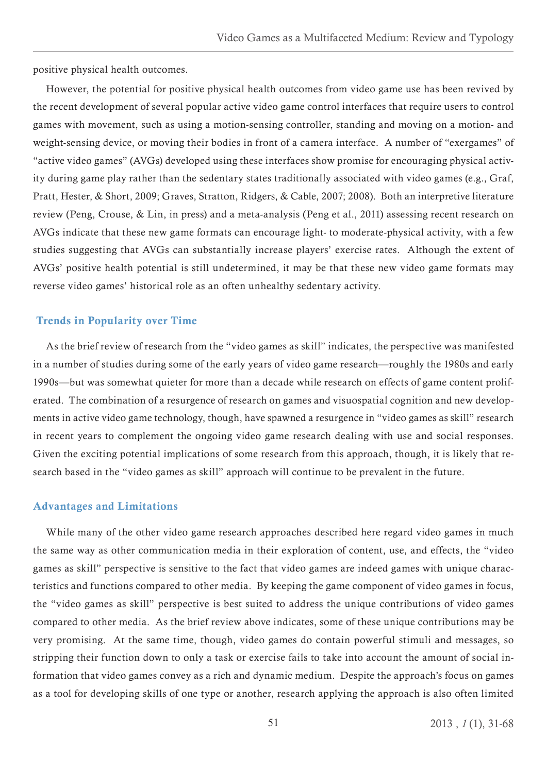<span id="page-20-0"></span>positive physical health outcomes.

However, the potential for positive physical health outcomes from video game use has been revived by the recent development of several popular active video game control interfaces that require users to control games with movement, such as using a motion-sensing controller, standing and moving on a motion- and weight-sensing device, or moving their bodies in front of a camera interface. A number of "exergames" of "active video games" (AVGs) developed using these interfaces show promise for encouraging physical activity during game play rather than the sedentary states traditionally associated with video games (e.g., Graf, Pratt, Hester, & Short, 2009; Graves, Stratton, Ridgers, & Cable, 2007; 2008). Both an interpretive literature review (Peng, Crouse, & Lin, in press) and a meta-analysis (Peng et al., 2011) assessing recent research on AVGs indicate that these new game formats can encourage light- to moderate-physical activity, with a few studies suggesting that AVGs can substantially increase players' exercise rates. Although the extent of AVGs' positive health potential is still undetermined, it may be that these new video game formats may reverse video games' historical role as an often unhealthy sedentary activity.

# Trends in Popularity over Time

As the brief review of research from the "video games as skill" indicates, the perspective was manifested in a number of studies during some of the early years of video game research—roughly the 1980s and early 1990s—but was somewhat quieter for more than a decade while research on effects of game content proliferated. The combination of a resurgence of research on games and visuospatial cognition and new developments in active video game technology, though, have spawned a resurgence in "video games as skill" research in recent years to complement the ongoing video game research dealing with use and social responses. Given the exciting potential implications of some research from this approach, though, it is likely that research based in the "video games as skill" approach will continue to be prevalent in the future.

#### Advantages and Limitations

While many of the other video game research approaches described here regard video games in much the same way as other communication media in their exploration of content, use, and effects, the "video games as skill" perspective is sensitive to the fact that video games are indeed games with unique characteristics and functions compared to other media. By keeping the game component of video games in focus, the "video games as skill" perspective is best suited to address the unique contributions of video games compared to other media. As the brief review above indicates, some of these unique contributions may be very promising. At the same time, though, video games do contain powerful stimuli and messages, so stripping their function down to only a task or exercise fails to take into account the amount of social information that video games convey as a rich and dynamic medium. Despite the approach's focus on games as a tool for developing skills of one type or another, research applying the approach is also often limited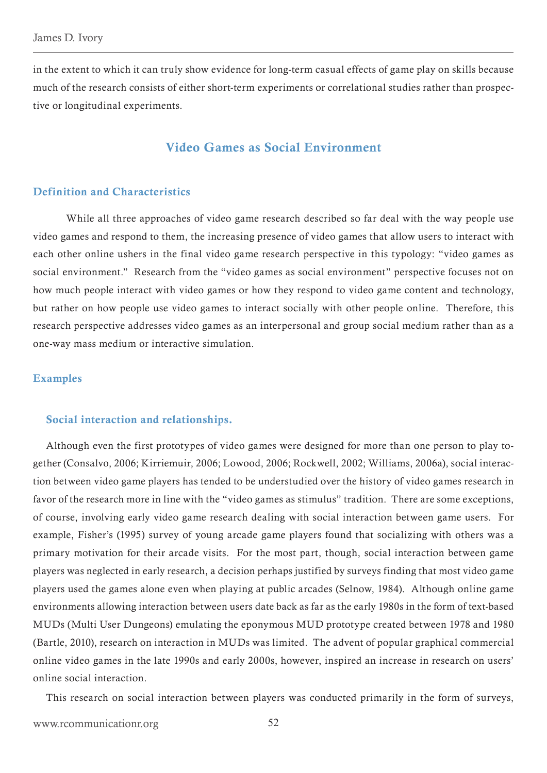<span id="page-21-0"></span>in the extent to which it can truly show evidence for long-term casual effects of game play on skills because much of the research consists of either short-term experiments or correlational studies rather than prospective or longitudinal experiments.

# Video Games as Social Environment

# Definition and Characteristics

 While all three approaches of video game research described so far deal with the way people use video games and respond to them, the increasing presence of video games that allow users to interact with each other online ushers in the final video game research perspective in this typology: "video games as social environment." Research from the "video games as social environment" perspective focuses not on how much people interact with video games or how they respond to video game content and technology, but rather on how people use video games to interact socially with other people online. Therefore, this research perspective addresses video games as an interpersonal and group social medium rather than as a one-way mass medium or interactive simulation.

### Examples

#### Social interaction and relationships.

Although even the first prototypes of video games were designed for more than one person to play together (Consalvo, 2006; Kirriemuir, 2006; Lowood, 2006; Rockwell, 2002; Williams, 2006a), social interaction between video game players has tended to be understudied over the history of video games research in favor of the research more in line with the "video games as stimulus" tradition. There are some exceptions, of course, involving early video game research dealing with social interaction between game users. For example, Fisher's (1995) survey of young arcade game players found that socializing with others was a primary motivation for their arcade visits. For the most part, though, social interaction between game players was neglected in early research, a decision perhaps justified by surveys finding that most video game players used the games alone even when playing at public arcades (Selnow, 1984). Although online game environments allowing interaction between users date back as far as the early 1980s in the form of text-based MUDs (Multi User Dungeons) emulating the eponymous MUD prototype created between 1978 and 1980 (Bartle, 2010), research on interaction in MUDs was limited. The advent of popular graphical commercial online video games in the late 1990s and early 2000s, however, inspired an increase in research on users' online social interaction.

This research on social interaction between players was conducted primarily in the form of surveys,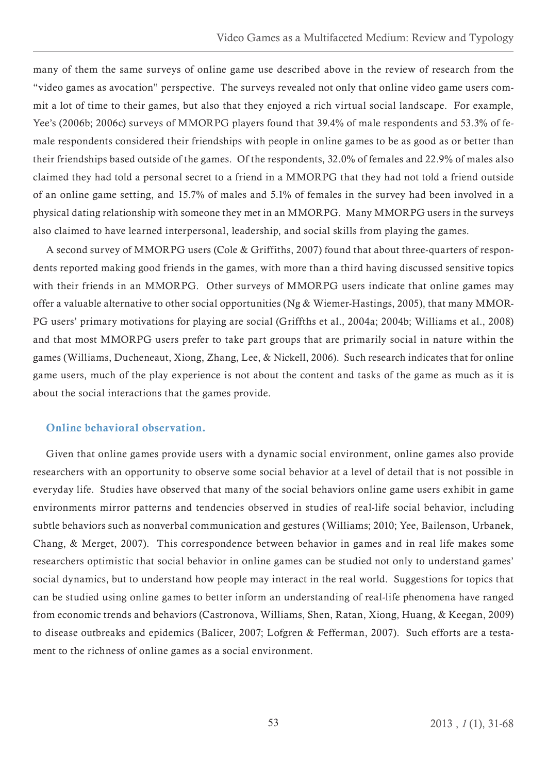<span id="page-22-0"></span>many of them the same surveys of online game use described above in the review of research from the "video games as avocation" perspective. The surveys revealed not only that online video game users commit a lot of time to their games, but also that they enjoyed a rich virtual social landscape. For example, Yee's (2006b; 2006c) surveys of MMORPG players found that 39.4% of male respondents and 53.3% of female respondents considered their friendships with people in online games to be as good as or better than their friendships based outside of the games. Of the respondents, 32.0% of females and 22.9% of males also claimed they had told a personal secret to a friend in a MMORPG that they had not told a friend outside of an online game setting, and 15.7% of males and 5.1% of females in the survey had been involved in a physical dating relationship with someone they met in an MMORPG. Many MMORPG users in the surveys also claimed to have learned interpersonal, leadership, and social skills from playing the games.

A second survey of MMORPG users (Cole & Griffiths, 2007) found that about three-quarters of respondents reported making good friends in the games, with more than a third having discussed sensitive topics with their friends in an MMORPG. Other surveys of MMORPG users indicate that online games may offer a valuable alternative to other social opportunities (Ng & Wiemer-Hastings, 2005), that many MMOR-PG users' primary motivations for playing are social (Griffths et al., 2004a; 2004b; Williams et al., 2008) and that most MMORPG users prefer to take part groups that are primarily social in nature within the games (Williams, Ducheneaut, Xiong, Zhang, Lee, & Nickell, 2006). Such research indicates that for online game users, much of the play experience is not about the content and tasks of the game as much as it is about the social interactions that the games provide.

# Online behavioral observation.

Given that online games provide users with a dynamic social environment, online games also provide researchers with an opportunity to observe some social behavior at a level of detail that is not possible in everyday life. Studies have observed that many of the social behaviors online game users exhibit in game environments mirror patterns and tendencies observed in studies of real-life social behavior, including subtle behaviors such as nonverbal communication and gestures (Williams; 2010; Yee, Bailenson, Urbanek, Chang, & Merget, 2007). This correspondence between behavior in games and in real life makes some researchers optimistic that social behavior in online games can be studied not only to understand games' social dynamics, but to understand how people may interact in the real world. Suggestions for topics that can be studied using online games to better inform an understanding of real-life phenomena have ranged from economic trends and behaviors (Castronova, Williams, Shen, Ratan, Xiong, Huang, & Keegan, 2009) to disease outbreaks and epidemics (Balicer, 2007; Lofgren & Fefferman, 2007). Such efforts are a testament to the richness of online games as a social environment.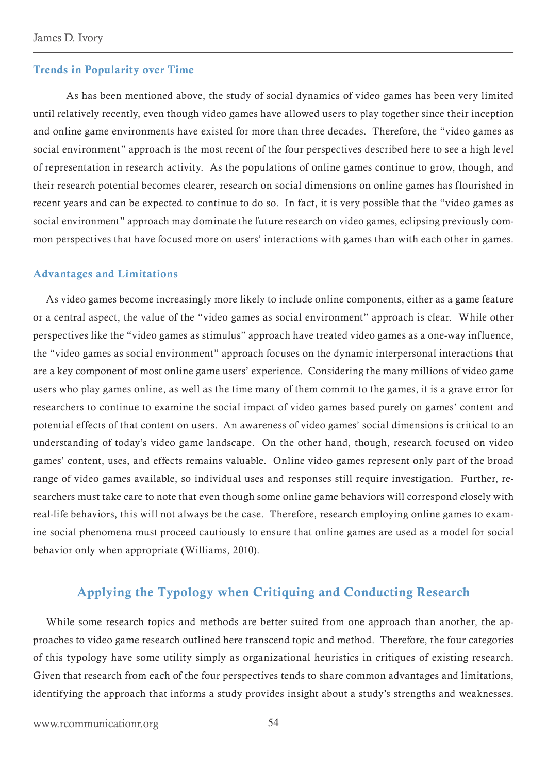#### <span id="page-23-0"></span>Trends in Popularity over Time

As has been mentioned above, the study of social dynamics of video games has been very limited until relatively recently, even though video games have allowed users to play together since their inception and online game environments have existed for more than three decades. Therefore, the "video games as social environment" approach is the most recent of the four perspectives described here to see a high level of representation in research activity. As the populations of online games continue to grow, though, and their research potential becomes clearer, research on social dimensions on online games has flourished in recent years and can be expected to continue to do so. In fact, it is very possible that the "video games as social environment" approach may dominate the future research on video games, eclipsing previously common perspectives that have focused more on users' interactions with games than with each other in games.

## Advantages and Limitations

As video games become increasingly more likely to include online components, either as a game feature or a central aspect, the value of the "video games as social environment" approach is clear. While other perspectives like the "video games as stimulus" approach have treated video games as a one-way influence, the "video games as social environment" approach focuses on the dynamic interpersonal interactions that are a key component of most online game users' experience. Considering the many millions of video game users who play games online, as well as the time many of them commit to the games, it is a grave error for researchers to continue to examine the social impact of video games based purely on games' content and potential effects of that content on users. An awareness of video games' social dimensions is critical to an understanding of today's video game landscape. On the other hand, though, research focused on video games' content, uses, and effects remains valuable. Online video games represent only part of the broad range of video games available, so individual uses and responses still require investigation. Further, researchers must take care to note that even though some online game behaviors will correspond closely with real-life behaviors, this will not always be the case. Therefore, research employing online games to examine social phenomena must proceed cautiously to ensure that online games are used as a model for social behavior only when appropriate (Williams, 2010).

# Applying the Typology when Critiquing and Conducting Research

While some research topics and methods are better suited from one approach than another, the approaches to video game research outlined here transcend topic and method. Therefore, the four categories of this typology have some utility simply as organizational heuristics in critiques of existing research. Given that research from each of the four perspectives tends to share common advantages and limitations, identifying the approach that informs a study provides insight about a study's strengths and weaknesses.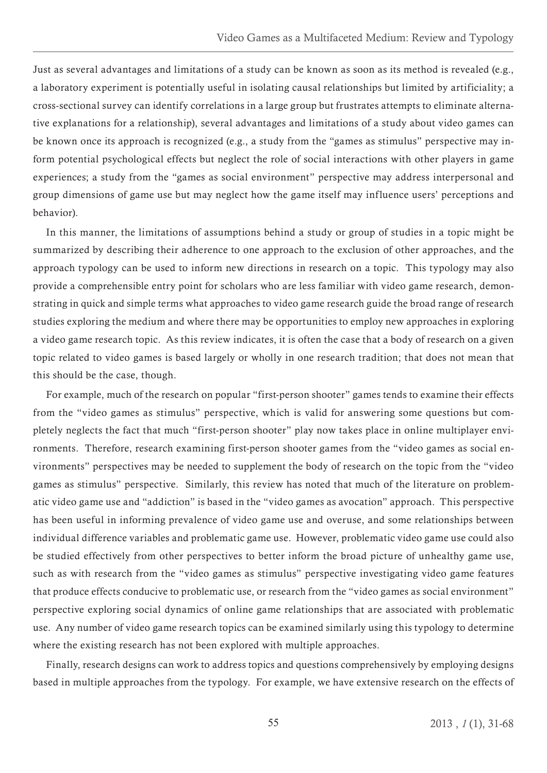Just as several advantages and limitations of a study can be known as soon as its method is revealed (e.g., a laboratory experiment is potentially useful in isolating causal relationships but limited by artificiality; a cross-sectional survey can identify correlations in a large group but frustrates attempts to eliminate alternative explanations for a relationship), several advantages and limitations of a study about video games can be known once its approach is recognized (e.g., a study from the "games as stimulus" perspective may inform potential psychological effects but neglect the role of social interactions with other players in game experiences; a study from the "games as social environment" perspective may address interpersonal and group dimensions of game use but may neglect how the game itself may influence users' perceptions and behavior).

In this manner, the limitations of assumptions behind a study or group of studies in a topic might be summarized by describing their adherence to one approach to the exclusion of other approaches, and the approach typology can be used to inform new directions in research on a topic. This typology may also provide a comprehensible entry point for scholars who are less familiar with video game research, demonstrating in quick and simple terms what approaches to video game research guide the broad range of research studies exploring the medium and where there may be opportunities to employ new approaches in exploring a video game research topic. As this review indicates, it is often the case that a body of research on a given topic related to video games is based largely or wholly in one research tradition; that does not mean that this should be the case, though.

For example, much of the research on popular "first-person shooter" games tends to examine their effects from the "video games as stimulus" perspective, which is valid for answering some questions but completely neglects the fact that much "first-person shooter" play now takes place in online multiplayer environments. Therefore, research examining first-person shooter games from the "video games as social environments" perspectives may be needed to supplement the body of research on the topic from the "video games as stimulus" perspective. Similarly, this review has noted that much of the literature on problematic video game use and "addiction" is based in the "video games as avocation" approach. This perspective has been useful in informing prevalence of video game use and overuse, and some relationships between individual difference variables and problematic game use. However, problematic video game use could also be studied effectively from other perspectives to better inform the broad picture of unhealthy game use, such as with research from the "video games as stimulus" perspective investigating video game features that produce effects conducive to problematic use, or research from the "video games as social environment" perspective exploring social dynamics of online game relationships that are associated with problematic use. Any number of video game research topics can be examined similarly using this typology to determine where the existing research has not been explored with multiple approaches.

Finally, research designs can work to address topics and questions comprehensively by employing designs based in multiple approaches from the typology. For example, we have extensive research on the effects of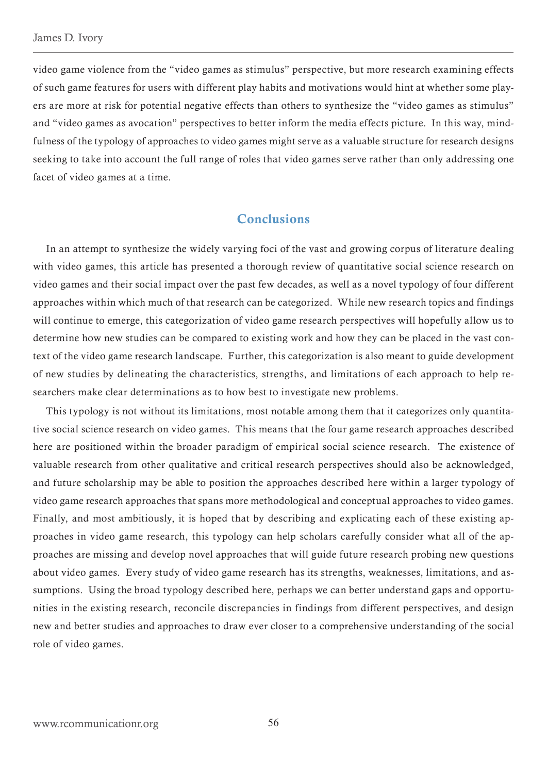<span id="page-25-0"></span>video game violence from the "video games as stimulus" perspective, but more research examining effects of such game features for users with different play habits and motivations would hint at whether some players are more at risk for potential negative effects than others to synthesize the "video games as stimulus" and "video games as avocation" perspectives to better inform the media effects picture. In this way, mindfulness of the typology of approaches to video games might serve as a valuable structure for research designs seeking to take into account the full range of roles that video games serve rather than only addressing one facet of video games at a time.

# Conclusions

In an attempt to synthesize the widely varying foci of the vast and growing corpus of literature dealing with video games, this article has presented a thorough review of quantitative social science research on video games and their social impact over the past few decades, as well as a novel typology of four different approaches within which much of that research can be categorized. While new research topics and findings will continue to emerge, this categorization of video game research perspectives will hopefully allow us to determine how new studies can be compared to existing work and how they can be placed in the vast context of the video game research landscape. Further, this categorization is also meant to guide development of new studies by delineating the characteristics, strengths, and limitations of each approach to help researchers make clear determinations as to how best to investigate new problems.

This typology is not without its limitations, most notable among them that it categorizes only quantitative social science research on video games. This means that the four game research approaches described here are positioned within the broader paradigm of empirical social science research. The existence of valuable research from other qualitative and critical research perspectives should also be acknowledged, and future scholarship may be able to position the approaches described here within a larger typology of video game research approaches that spans more methodological and conceptual approaches to video games. Finally, and most ambitiously, it is hoped that by describing and explicating each of these existing approaches in video game research, this typology can help scholars carefully consider what all of the approaches are missing and develop novel approaches that will guide future research probing new questions about video games. Every study of video game research has its strengths, weaknesses, limitations, and assumptions. Using the broad typology described here, perhaps we can better understand gaps and opportunities in the existing research, reconcile discrepancies in findings from different perspectives, and design new and better studies and approaches to draw ever closer to a comprehensive understanding of the social role of video games.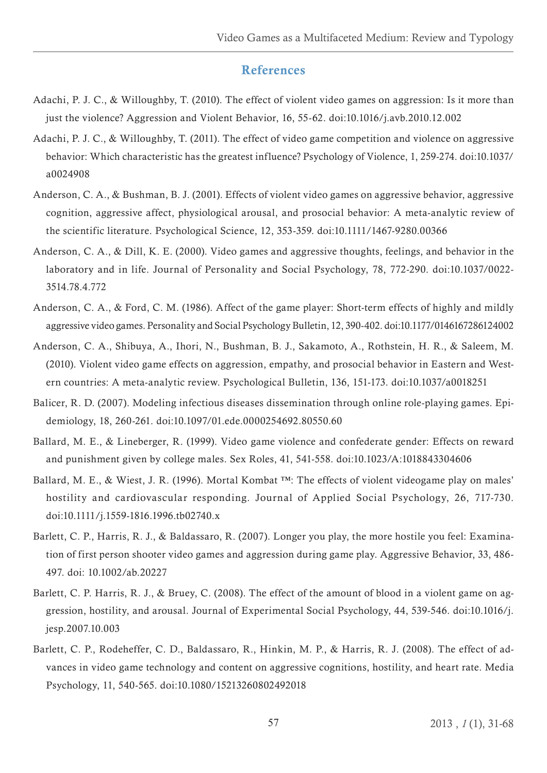# References

- <span id="page-26-0"></span>Adachi, P. J. C., & Willoughby, T. (2010). The effect of violent video games on aggression: Is it more than just the violence? Aggression and Violent Behavior, 16, 55-62. doi:10.1016/j.avb.2010.12.002
- Adachi, P. J. C., & Willoughby, T. (2011). The effect of video game competition and violence on aggressive behavior: Which characteristic has the greatest influence? Psychology of Violence, 1, 259-274. doi:10.1037/ a0024908
- Anderson, C. A., & Bushman, B. J. (2001). Effects of violent video games on aggressive behavior, aggressive cognition, aggressive affect, physiological arousal, and prosocial behavior: A meta-analytic review of the scientific literature. Psychological Science, 12, 353-359. doi:10.1111/1467-9280.00366
- Anderson, C. A., & Dill, K. E. (2000). Video games and aggressive thoughts, feelings, and behavior in the laboratory and in life. Journal of Personality and Social Psychology, 78, 772-290. doi:10.1037/0022- 3514.78.4.772
- Anderson, C. A., & Ford, C. M. (1986). Affect of the game player: Short-term effects of highly and mildly aggressive video games. Personality and Social Psychology Bulletin, 12, 390-402. doi:10.1177/0146167286124002
- Anderson, C. A., Shibuya, A., Ihori, N., Bushman, B. J., Sakamoto, A., Rothstein, H. R., & Saleem, M. (2010). Violent video game effects on aggression, empathy, and prosocial behavior in Eastern and Western countries: A meta-analytic review. Psychological Bulletin, 136, 151-173. doi:10.1037/a0018251
- Balicer, R. D. (2007). Modeling infectious diseases dissemination through online role-playing games. Epidemiology, 18, 260-261. doi:10.1097/01.ede.0000254692.80550.60
- Ballard, M. E., & Lineberger, R. (1999). Video game violence and confederate gender: Effects on reward and punishment given by college males. Sex Roles, 41, 541-558. doi:10.1023/A:1018843304606
- Ballard, M. E., & Wiest, J. R. (1996). Mortal Kombat ™: The effects of violent videogame play on males' hostility and cardiovascular responding. Journal of Applied Social Psychology, 26, 717-730. doi:10.1111/j.1559-1816.1996.tb02740.x
- Barlett, C. P., Harris, R. J., & Baldassaro, R. (2007). Longer you play, the more hostile you feel: Examination of first person shooter video games and aggression during game play. Aggressive Behavior, 33, 486- 497. doi: 10.1002/ab.20227
- Barlett, C. P. Harris, R. J., & Bruey, C. (2008). The effect of the amount of blood in a violent game on aggression, hostility, and arousal. Journal of Experimental Social Psychology, 44, 539-546. doi:10.1016/j. jesp.2007.10.003
- Barlett, C. P., Rodeheffer, C. D., Baldassaro, R., Hinkin, M. P., & Harris, R. J. (2008). The effect of advances in video game technology and content on aggressive cognitions, hostility, and heart rate. Media Psychology, 11, 540-565. doi:10.1080/15213260802492018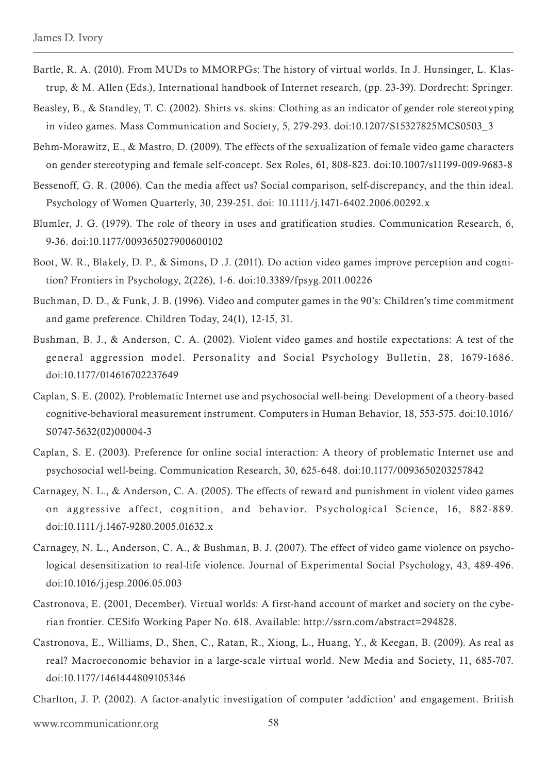- Bartle, R. A. (2010). From MUDs to MMORPGs: The history of virtual worlds. In J. Hunsinger, L. Klastrup, & M. Allen (Eds.), International handbook of Internet research, (pp. 23-39). Dordrecht: Springer.
- Beasley, B., & Standley, T. C. (2002). Shirts vs. skins: Clothing as an indicator of gender role stereotyping in video games. Mass Communication and Society, 5, 279-293. doi:10.1207/S15327825MCS0503\_3
- Behm-Morawitz, E., & Mastro, D. (2009). The effects of the sexualization of female video game characters on gender stereotyping and female self-concept. Sex Roles, 61, 808-823. doi:10.1007/s11199-009-9683-8
- Bessenoff, G. R. (2006). Can the media affect us? Social comparison, self-discrepancy, and the thin ideal. Psychology of Women Quarterly, 30, 239-251. doi: 10.1111/j.1471-6402.2006.00292.x
- Blumler, J. G. (1979). The role of theory in uses and gratification studies. Communication Research, 6, 9-36. doi:10.1177/009365027900600102
- Boot, W. R., Blakely, D. P., & Simons, D .J. (2011). Do action video games improve perception and cognition? Frontiers in Psychology, 2(226), 1-6. doi:10.3389/fpsyg.2011.00226
- Buchman, D. D., & Funk, J. B. (1996). Video and computer games in the 90's: Children's time commitment and game preference. Children Today, 24(1), 12-15, 31.
- Bushman, B. J., & Anderson, C. A. (2002). Violent video games and hostile expectations: A test of the general aggression model. Personality and Social Psychology Bulletin, 28, 1679-1686. doi:10.1177/014616702237649
- Caplan, S. E. (2002). Problematic Internet use and psychosocial well-being: Development of a theory-based cognitive-behavioral measurement instrument. Computers in Human Behavior, 18, 553-575. doi:10.1016/ S0747-5632(02)00004-3
- Caplan, S. E. (2003). Preference for online social interaction: A theory of problematic Internet use and psychosocial well-being. Communication Research, 30, 625-648. doi:10.1177/0093650203257842
- Carnagey, N. L., & Anderson, C. A. (2005). The effects of reward and punishment in violent video games on aggressive affect, cognition, and behavior. Psychological Science, 16, 882-889. doi:10.1111/j.1467-9280.2005.01632.x
- Carnagey, N. L., Anderson, C. A., & Bushman, B. J. (2007). The effect of video game violence on psychological desensitization to real-life violence. Journal of Experimental Social Psychology, 43, 489-496. doi:10.1016/j.jesp.2006.05.003
- Castronova, E. (2001, December). Virtual worlds: A first-hand account of market and society on the cyberian frontier. CESifo Working Paper No. 618. Available: http://ssrn.com/abstract=294828.
- Castronova, E., Williams, D., Shen, C., Ratan, R., Xiong, L., Huang, Y., & Keegan, B. (2009). As real as real? Macroeconomic behavior in a large-scale virtual world. New Media and Society, 11, 685-707. doi:10.1177/1461444809105346

Charlton, J. P. (2002). A factor-analytic investigation of computer 'addiction' and engagement. British

www.rcommunicationr.org 58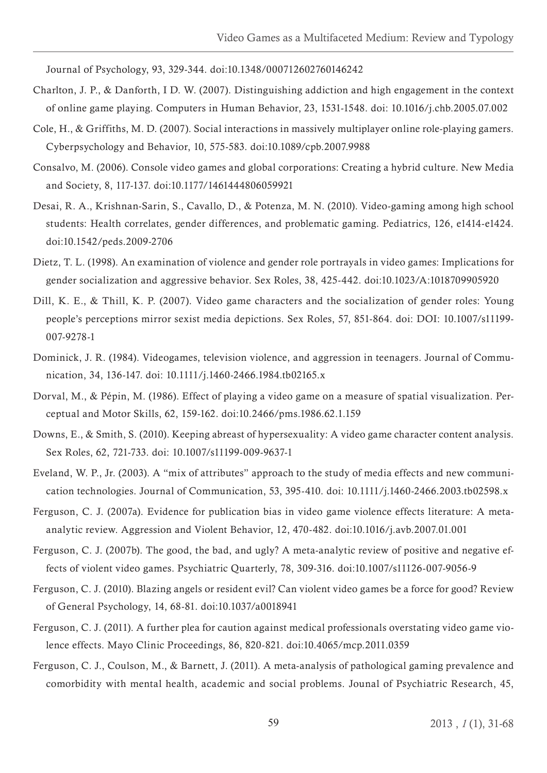Journal of Psychology, 93, 329-344. doi:10.1348/000712602760146242

- Charlton, J. P., & Danforth, I D. W. (2007). Distinguishing addiction and high engagement in the context of online game playing. Computers in Human Behavior, 23, 1531-1548. doi: 10.1016/j.chb.2005.07.002
- Cole, H., & Griffiths, M. D. (2007). Social interactions in massively multiplayer online role-playing gamers. Cyberpsychology and Behavior, 10, 575-583. doi:10.1089/cpb.2007.9988
- Consalvo, M. (2006). Console video games and global corporations: Creating a hybrid culture. New Media and Society, 8, 117-137. doi:10.1177/1461444806059921
- Desai, R. A., Krishnan-Sarin, S., Cavallo, D., & Potenza, M. N. (2010). Video-gaming among high school students: Health correlates, gender differences, and problematic gaming. Pediatrics, 126, e1414-e1424. doi:10.1542/peds.2009-2706
- Dietz, T. L. (1998). An examination of violence and gender role portrayals in video games: Implications for gender socialization and aggressive behavior. Sex Roles, 38, 425-442. doi:10.1023/A:1018709905920
- Dill, K. E., & Thill, K. P. (2007). Video game characters and the socialization of gender roles: Young people's perceptions mirror sexist media depictions. Sex Roles, 57, 851-864. doi: DOI: 10.1007/s11199- 007-9278-1
- Dominick, J. R. (1984). Videogames, television violence, and aggression in teenagers. Journal of Communication, 34, 136-147. doi: 10.1111/j.1460-2466.1984.tb02165.x
- Dorval, M., & Pépin, M. (1986). Effect of playing a video game on a measure of spatial visualization. Perceptual and Motor Skills, 62, 159-162. doi:10.2466/pms.1986.62.1.159
- Downs, E., & Smith, S. (2010). Keeping abreast of hypersexuality: A video game character content analysis. Sex Roles, 62, 721-733. doi: 10.1007/s11199-009-9637-1
- Eveland, W. P., Jr. (2003). A "mix of attributes" approach to the study of media effects and new communication technologies. Journal of Communication, 53, 395-410. doi: 10.1111/j.1460-2466.2003.tb02598.x
- Ferguson, C. J. (2007a). Evidence for publication bias in video game violence effects literature: A metaanalytic review. Aggression and Violent Behavior, 12, 470-482. doi:10.1016/j.avb.2007.01.001
- Ferguson, C. J. (2007b). The good, the bad, and ugly? A meta-analytic review of positive and negative effects of violent video games. Psychiatric Quarterly, 78, 309-316. doi:10.1007/s11126-007-9056-9
- Ferguson, C. J. (2010). Blazing angels or resident evil? Can violent video games be a force for good? Review of General Psychology, 14, 68-81. doi:10.1037/a0018941
- Ferguson, C. J. (2011). A further plea for caution against medical professionals overstating video game violence effects. Mayo Clinic Proceedings, 86, 820-821. doi:10.4065/mcp.2011.0359
- Ferguson, C. J., Coulson, M., & Barnett, J. (2011). A meta-analysis of pathological gaming prevalence and comorbidity with mental health, academic and social problems. Jounal of Psychiatric Research, 45,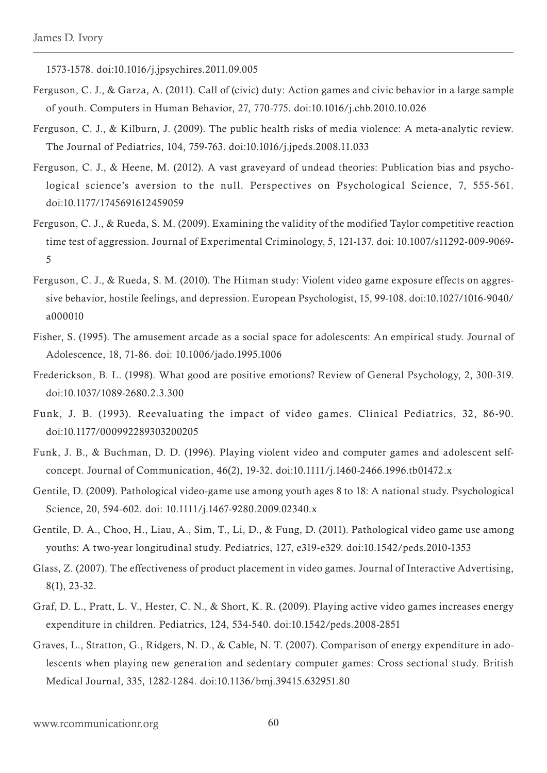1573-1578. doi:10.1016/j.jpsychires.2011.09.005

- Ferguson, C. J., & Garza, A. (2011). Call of (civic) duty: Action games and civic behavior in a large sample of youth. Computers in Human Behavior, 27, 770-775. doi:10.1016/j.chb.2010.10.026
- Ferguson, C. J., & Kilburn, J. (2009). The public health risks of media violence: A meta-analytic review. The Journal of Pediatrics, 104, 759-763. doi:10.1016/j.jpeds.2008.11.033
- Ferguson, C. J., & Heene, M. (2012). A vast graveyard of undead theories: Publication bias and psychological science's aversion to the null. Perspectives on Psychological Science, 7, 555-561. doi:10.1177/1745691612459059
- Ferguson, C. J., & Rueda, S. M. (2009). Examining the validity of the modified Taylor competitive reaction time test of aggression. Journal of Experimental Criminology, 5, 121-137. doi: 10.1007/s11292-009-9069- 5
- Ferguson, C. J., & Rueda, S. M. (2010). The Hitman study: Violent video game exposure effects on aggressive behavior, hostile feelings, and depression. European Psychologist, 15, 99-108. doi:10.1027/1016-9040/ a000010
- Fisher, S. (1995). The amusement arcade as a social space for adolescents: An empirical study. Journal of Adolescence, 18, 71-86. doi: 10.1006/jado.1995.1006
- Frederickson, B. L. (1998). What good are positive emotions? Review of General Psychology, 2, 300-319. doi:10.1037/1089-2680.2.3.300
- Funk, J. B. (1993). Reevaluating the impact of video games. Clinical Pediatrics, 32, 86-90. doi:10.1177/000992289303200205
- Funk, J. B., & Buchman, D. D. (1996). Playing violent video and computer games and adolescent selfconcept. Journal of Communication, 46(2), 19-32. doi:10.1111/j.1460-2466.1996.tb01472.x
- Gentile, D. (2009). Pathological video-game use among youth ages 8 to 18: A national study. Psychological Science, 20, 594-602. doi: 10.1111/j.1467-9280.2009.02340.x
- Gentile, D. A., Choo, H., Liau, A., Sim, T., Li, D., & Fung, D. (2011). Pathological video game use among youths: A two-year longitudinal study. Pediatrics, 127, e319-e329. doi:10.1542/peds.2010-1353
- Glass, Z. (2007). The effectiveness of product placement in video games. Journal of Interactive Advertising, 8(1), 23-32.
- Graf, D. L., Pratt, L. V., Hester, C. N., & Short, K. R. (2009). Playing active video games increases energy expenditure in children. Pediatrics, 124, 534-540. doi:10.1542/peds.2008-2851
- Graves, L., Stratton, G., Ridgers, N. D., & Cable, N. T. (2007). Comparison of energy expenditure in adolescents when playing new generation and sedentary computer games: Cross sectional study. British Medical Journal, 335, 1282-1284. doi:10.1136/bmj.39415.632951.80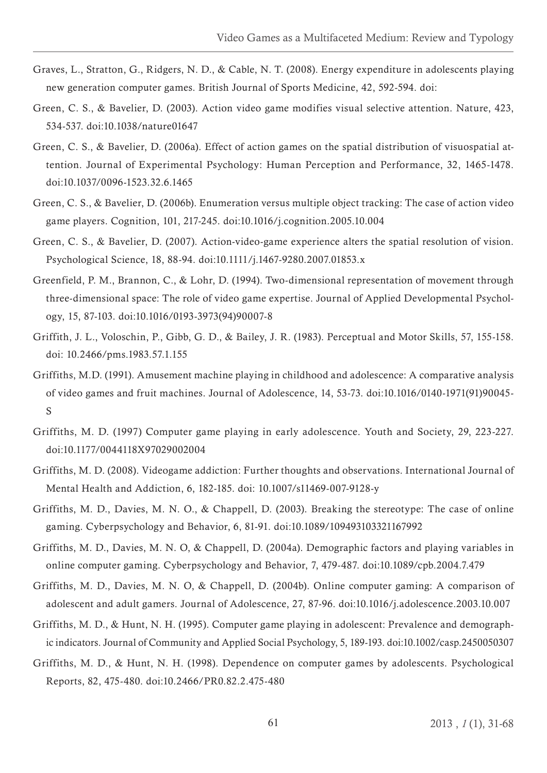- Graves, L., Stratton, G., Ridgers, N. D., & Cable, N. T. (2008). Energy expenditure in adolescents playing new generation computer games. British Journal of Sports Medicine, 42, 592-594. doi:
- Green, C. S., & Bavelier, D. (2003). Action video game modifies visual selective attention. Nature, 423, 534-537. doi:10.1038/nature01647
- Green, C. S., & Bavelier, D. (2006a). Effect of action games on the spatial distribution of visuospatial attention. Journal of Experimental Psychology: Human Perception and Performance, 32, 1465-1478. doi:10.1037/0096-1523.32.6.1465
- Green, C. S., & Bavelier, D. (2006b). Enumeration versus multiple object tracking: The case of action video game players. Cognition, 101, 217-245. doi:10.1016/j.cognition.2005.10.004
- Green, C. S., & Bavelier, D. (2007). Action-video-game experience alters the spatial resolution of vision. Psychological Science, 18, 88-94. doi:10.1111/j.1467-9280.2007.01853.x
- Greenfield, P. M., Brannon, C., & Lohr, D. (1994). Two-dimensional representation of movement through three-dimensional space: The role of video game expertise. Journal of Applied Developmental Psychology, 15, 87-103. doi:10.1016/0193-3973(94)90007-8
- Griffith, J. L., Voloschin, P., Gibb, G. D., & Bailey, J. R. (1983). Perceptual and Motor Skills, 57, 155-158. doi: 10.2466/pms.1983.57.1.155
- Griffiths, M.D. (1991). Amusement machine playing in childhood and adolescence: A comparative analysis of video games and fruit machines. Journal of Adolescence, 14, 53-73. doi:10.1016/0140-1971(91)90045- S
- Griffiths, M. D. (1997) Computer game playing in early adolescence. Youth and Society, 29, 223-227. doi:10.1177/0044118X97029002004
- Griffiths, M. D. (2008). Videogame addiction: Further thoughts and observations. International Journal of Mental Health and Addiction, 6, 182-185. doi: 10.1007/s11469-007-9128-y
- Griffiths, M. D., Davies, M. N. O., & Chappell, D. (2003). Breaking the stereotype: The case of online gaming. Cyberpsychology and Behavior, 6, 81-91. doi:10.1089/109493103321167992
- Griffiths, M. D., Davies, M. N. O, & Chappell, D. (2004a). Demographic factors and playing variables in online computer gaming. Cyberpsychology and Behavior, 7, 479-487. doi:10.1089/cpb.2004.7.479
- Griffiths, M. D., Davies, M. N. O, & Chappell, D. (2004b). Online computer gaming: A comparison of adolescent and adult gamers. Journal of Adolescence, 27, 87-96. doi:10.1016/j.adolescence.2003.10.007
- Griffiths, M. D., & Hunt, N. H. (1995). Computer game playing in adolescent: Prevalence and demographic indicators. Journal of Community and Applied Social Psychology, 5, 189-193. doi:10.1002/casp.2450050307
- Griffiths, M. D., & Hunt, N. H. (1998). Dependence on computer games by adolescents. Psychological Reports, 82, 475-480. doi:10.2466/PR0.82.2.475-480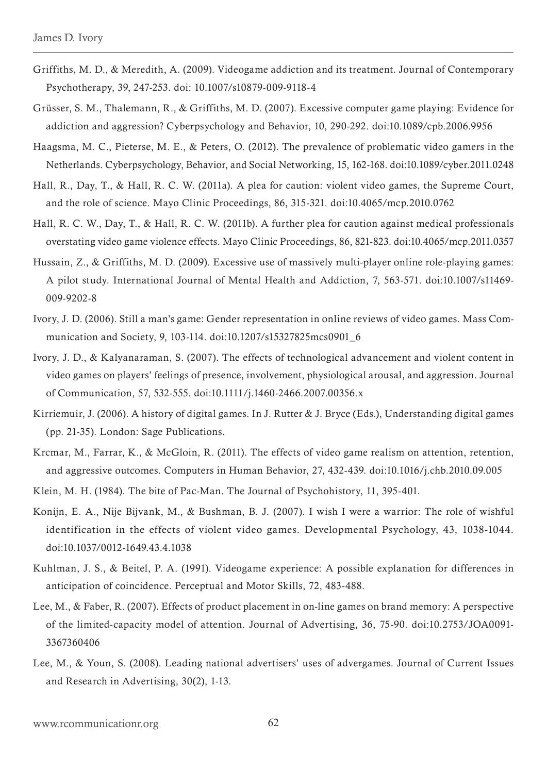- Griffiths, M. D., & Meredith, A. (2009). Videogame addiction and its treatment. Journal of Contemporary Psychotherapy, 39, 247-253. doi: 10.1007/s10879-009-9118-4
- Grüsser, S. M., Thalemann, R., & Griffiths, M. D. (2007). Excessive computer game playing: Evidence for addiction and aggression? Cyberpsychology and Behavior, 10, 290-292. doi:10.1089/cpb.2006.9956
- Haagsma, M. C., Pieterse, M. E., & Peters, O. (2012). The prevalence of problematic video gamers in the Netherlands. Cyberpsychology, Behavior, and Social Networking, 15, 162-168. doi:10.1089/cyber.2011.0248
- Hall, R., Day, T., & Hall, R. C. W. (2011a). A plea for caution: violent video games, the Supreme Court, and the role of science. Mayo Clinic Proceedings, 86, 315-321. doi:10.4065/mcp.2010.0762
- Hall, R. C. W., Day, T., & Hall, R. C. W. (2011b). A further plea for caution against medical professionals overstating video game violence effects. Mayo Clinic Proceedings, 86, 821-823. doi:10.4065/mcp.2011.0357
- Hussain, Z., & Griffiths, M. D. (2009). Excessive use of massively multi-player online role-playing games: A pilot study. International Journal of Mental Health and Addiction, 7, 563-571. doi:10.1007/s11469- 009-9202-8
- Ivory, J. D. (2006). Still a man's game: Gender representation in online reviews of video games. Mass Communication and Society, 9, 103-114. doi:10.1207/s15327825mcs0901\_6
- Ivory, J. D., & Kalyanaraman, S. (2007). The effects of technological advancement and violent content in video games on players' feelings of presence, involvement, physiological arousal, and aggression. Journal of Communication, 57, 532-555. doi:10.1111/j.1460-2466.2007.00356.x
- Kirriemuir, J. (2006). A history of digital games. In J. Rutter & J. Bryce (Eds.), Understanding digital games (pp. 21-35). London: Sage Publications.
- Krcmar, M., Farrar, K., & McGloin, R. (2011). The effects of video game realism on attention, retention, and aggressive outcomes. Computers in Human Behavior, 27, 432-439. doi:10.1016/j.chb.2010.09.005
- Klein, M. H. (1984). The bite of Pac-Man. The Journal of Psychohistory, 11, 395-401.
- Konijn, E. A., Nije Bijvank, M., & Bushman, B. J. (2007). I wish I were a warrior: The role of wishful identification in the effects of violent video games. Developmental Psychology, 43, 1038-1044. doi:10.1037/0012-1649.43.4.1038
- Kuhlman, J. S., & Beitel, P. A. (1991). Videogame experience: A possible explanation for differences in anticipation of coincidence. Perceptual and Motor Skills, 72, 483-488.
- Lee, M., & Faber, R. (2007). Effects of product placement in on-line games on brand memory: A perspective of the limited-capacity model of attention. Journal of Advertising, 36, 75-90. doi:10.2753/JOA0091- 3367360406
- Lee, M., & Youn, S. (2008). Leading national advertisers' uses of advergames. Journal of Current Issues and Research in Advertising, 30(2), 1-13.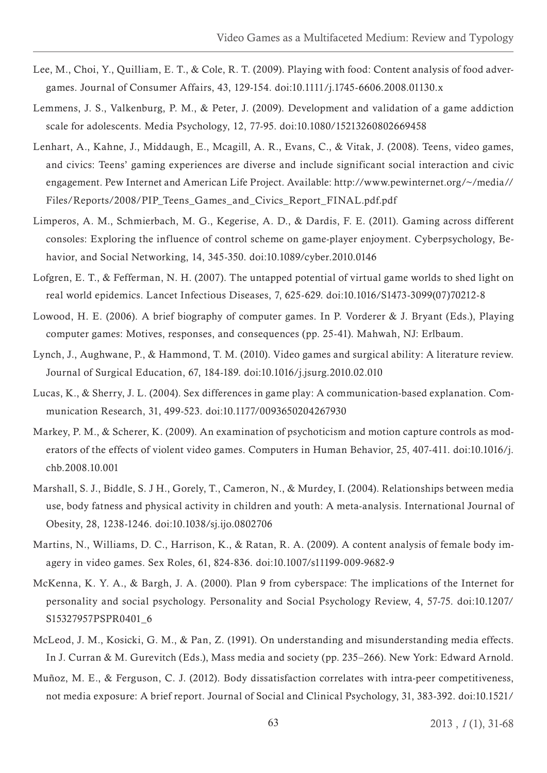- Lee, M., Choi, Y., Quilliam, E. T., & Cole, R. T. (2009). Playing with food: Content analysis of food advergames. Journal of Consumer Affairs, 43, 129-154. doi:10.1111/j.1745-6606.2008.01130.x
- Lemmens, J. S., Valkenburg, P. M., & Peter, J. (2009). Development and validation of a game addiction scale for adolescents. Media Psychology, 12, 77-95. doi:10.1080/15213260802669458
- Lenhart, A., Kahne, J., Middaugh, E., Mcagill, A. R., Evans, C., & Vitak, J. (2008). Teens, video games, and civics: Teens' gaming experiences are diverse and include significant social interaction and civic engagement. Pew Internet and American Life Project. Available: http://www.pewinternet.org/~/media// Files/Reports/2008/PIP\_Teens\_Games\_and\_Civics\_Report\_FINAL.pdf.pdf
- Limperos, A. M., Schmierbach, M. G., Kegerise, A. D., & Dardis, F. E. (2011). Gaming across different consoles: Exploring the influence of control scheme on game-player enjoyment. Cyberpsychology, Behavior, and Social Networking, 14, 345-350. doi:10.1089/cyber.2010.0146
- Lofgren, E. T., & Fefferman, N. H. (2007). The untapped potential of virtual game worlds to shed light on real world epidemics. Lancet Infectious Diseases, 7, 625-629. doi:10.1016/S1473-3099(07)70212-8
- Lowood, H. E. (2006). A brief biography of computer games. In P. Vorderer & J. Bryant (Eds.), Playing computer games: Motives, responses, and consequences (pp. 25-41). Mahwah, NJ: Erlbaum.
- Lynch, J., Aughwane, P., & Hammond, T. M. (2010). Video games and surgical ability: A literature review. Journal of Surgical Education, 67, 184-189. doi:10.1016/j.jsurg.2010.02.010
- Lucas, K., & Sherry, J. L. (2004). Sex differences in game play: A communication-based explanation. Communication Research, 31, 499-523. doi:10.1177/0093650204267930
- Markey, P. M., & Scherer, K. (2009). An examination of psychoticism and motion capture controls as moderators of the effects of violent video games. Computers in Human Behavior, 25, 407-411. doi:10.1016/j. chb.2008.10.001
- Marshall, S. J., Biddle, S. J H., Gorely, T., Cameron, N., & Murdey, I. (2004). Relationships between media use, body fatness and physical activity in children and youth: A meta-analysis. International Journal of Obesity, 28, 1238-1246. doi:10.1038/sj.ijo.0802706
- Martins, N., Williams, D. C., Harrison, K., & Ratan, R. A. (2009). A content analysis of female body imagery in video games. Sex Roles, 61, 824-836. doi:10.1007/s11199-009-9682-9
- McKenna, K. Y. A., & Bargh, J. A. (2000). Plan 9 from cyberspace: The implications of the Internet for personality and social psychology. Personality and Social Psychology Review, 4, 57-75. doi:10.1207/ S15327957PSPR0401\_6
- McLeod, J. M., Kosicki, G. M., & Pan, Z. (1991). On understanding and misunderstanding media effects. In J. Curran & M. Gurevitch (Eds.), Mass media and society (pp. 235–266). New York: Edward Arnold.
- Muñoz, M. E., & Ferguson, C. J. (2012). Body dissatisfaction correlates with intra-peer competitiveness, not media exposure: A brief report. Journal of Social and Clinical Psychology, 31, 383-392. doi:10.1521/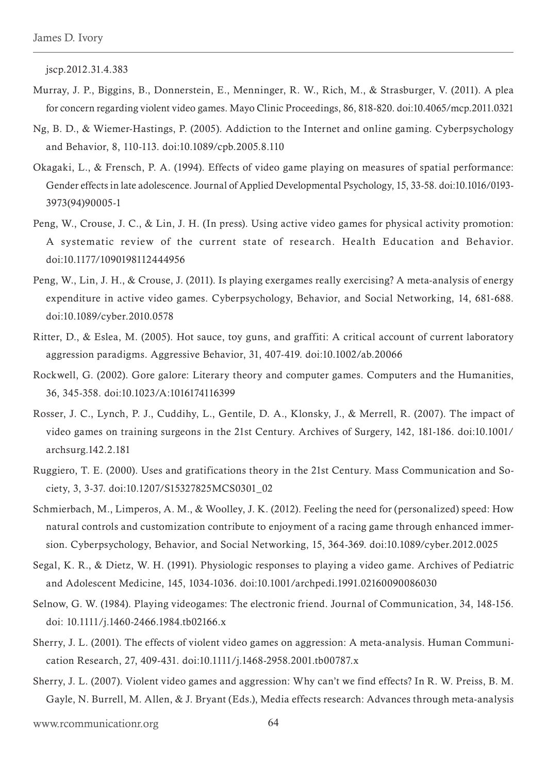jscp.2012.31.4.383

- Murray, J. P., Biggins, B., Donnerstein, E., Menninger, R. W., Rich, M., & Strasburger, V. (2011). A plea for concern regarding violent video games. Mayo Clinic Proceedings, 86, 818-820. doi:10.4065/mcp.2011.0321
- Ng, B. D., & Wiemer-Hastings, P. (2005). Addiction to the Internet and online gaming. Cyberpsychology and Behavior, 8, 110-113. doi:10.1089/cpb.2005.8.110
- Okagaki, L., & Frensch, P. A. (1994). Effects of video game playing on measures of spatial performance: Gender effects in late adolescence. Journal of Applied Developmental Psychology, 15, 33-58. doi:10.1016/0193- 3973(94)90005-1
- Peng, W., Crouse, J. C., & Lin, J. H. (In press). Using active video games for physical activity promotion: A systematic review of the current state of research. Health Education and Behavior. doi:10.1177/1090198112444956
- Peng, W., Lin, J. H., & Crouse, J. (2011). Is playing exergames really exercising? A meta-analysis of energy expenditure in active video games. Cyberpsychology, Behavior, and Social Networking, 14, 681-688. doi:10.1089/cyber.2010.0578
- Ritter, D., & Eslea, M. (2005). Hot sauce, toy guns, and graffiti: A critical account of current laboratory aggression paradigms. Aggressive Behavior, 31, 407-419. doi:10.1002/ab.20066
- Rockwell, G. (2002). Gore galore: Literary theory and computer games. Computers and the Humanities, 36, 345-358. doi:10.1023/A:1016174116399
- Rosser, J. C., Lynch, P. J., Cuddihy, L., Gentile, D. A., Klonsky, J., & Merrell, R. (2007). The impact of video games on training surgeons in the 21st Century. Archives of Surgery, 142, 181-186. doi:10.1001/ archsurg.142.2.181
- Ruggiero, T. E. (2000). Uses and gratifications theory in the 21st Century. Mass Communication and Society, 3, 3-37. doi:10.1207/S15327825MCS0301\_02
- Schmierbach, M., Limperos, A. M., & Woolley, J. K. (2012). Feeling the need for (personalized) speed: How natural controls and customization contribute to enjoyment of a racing game through enhanced immersion. Cyberpsychology, Behavior, and Social Networking, 15, 364-369. doi:10.1089/cyber.2012.0025
- Segal, K. R., & Dietz, W. H. (1991). Physiologic responses to playing a video game. Archives of Pediatric and Adolescent Medicine, 145, 1034-1036. doi:10.1001/archpedi.1991.02160090086030
- Selnow, G. W. (1984). Playing videogames: The electronic friend. Journal of Communication, 34, 148-156. doi: 10.1111/j.1460-2466.1984.tb02166.x
- Sherry, J. L. (2001). The effects of violent video games on aggression: A meta-analysis. Human Communication Research, 27, 409-431. doi:10.1111/j.1468-2958.2001.tb00787.x
- Sherry, J. L. (2007). Violent video games and aggression: Why can't we find effects? In R. W. Preiss, B. M. Gayle, N. Burrell, M. Allen, & J. Bryant (Eds.), Media effects research: Advances through meta-analysis

www.rcommunicationr.org 64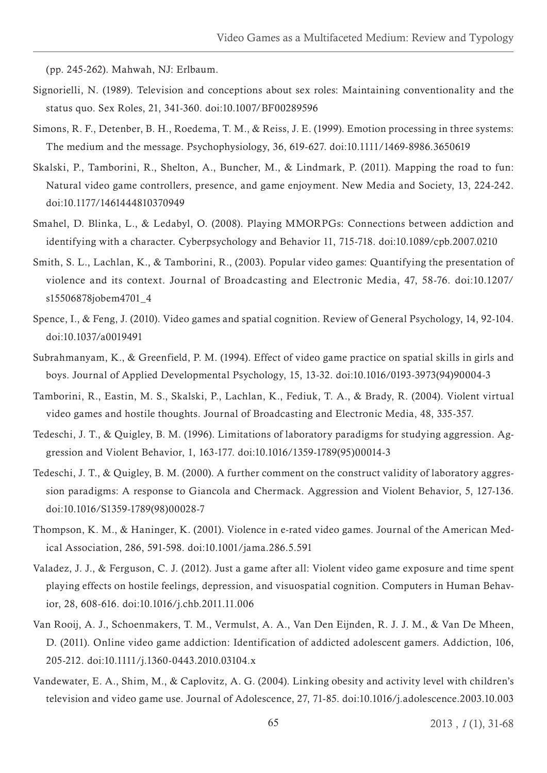(pp. 245-262). Mahwah, NJ: Erlbaum.

- Signorielli, N. (1989). Television and conceptions about sex roles: Maintaining conventionality and the status quo. Sex Roles, 21, 341-360. doi:10.1007/BF00289596
- Simons, R. F., Detenber, B. H., Roedema, T. M., & Reiss, J. E. (1999). Emotion processing in three systems: The medium and the message. Psychophysiology, 36, 619-627. doi:10.1111/1469-8986.3650619
- Skalski, P., Tamborini, R., Shelton, A., Buncher, M., & Lindmark, P. (2011). Mapping the road to fun: Natural video game controllers, presence, and game enjoyment. New Media and Society, 13, 224-242. doi:10.1177/1461444810370949
- Smahel, D. Blinka, L., & Ledabyl, O. (2008). Playing MMORPGs: Connections between addiction and identifying with a character. Cyberpsychology and Behavior 11, 715-718. doi:10.1089/cpb.2007.0210
- Smith, S. L., Lachlan, K., & Tamborini, R., (2003). Popular video games: Quantifying the presentation of violence and its context. Journal of Broadcasting and Electronic Media, 47, 58-76. doi:10.1207/ s15506878jobem4701\_4
- Spence, I., & Feng, J. (2010). Video games and spatial cognition. Review of General Psychology, 14, 92-104. doi:10.1037/a0019491
- Subrahmanyam, K., & Greenfield, P. M. (1994). Effect of video game practice on spatial skills in girls and boys. Journal of Applied Developmental Psychology, 15, 13-32. doi:10.1016/0193-3973(94)90004-3
- Tamborini, R., Eastin, M. S., Skalski, P., Lachlan, K., Fediuk, T. A., & Brady, R. (2004). Violent virtual video games and hostile thoughts. Journal of Broadcasting and Electronic Media, 48, 335-357.
- Tedeschi, J. T., & Quigley, B. M. (1996). Limitations of laboratory paradigms for studying aggression. Aggression and Violent Behavior, 1, 163-177. doi:10.1016/1359-1789(95)00014-3
- Tedeschi, J. T., & Quigley, B. M. (2000). A further comment on the construct validity of laboratory aggression paradigms: A response to Giancola and Chermack. Aggression and Violent Behavior, 5, 127-136. doi:10.1016/S1359-1789(98)00028-7
- Thompson, K. M., & Haninger, K. (2001). Violence in e-rated video games. Journal of the American Medical Association, 286, 591-598. doi:10.1001/jama.286.5.591
- Valadez, J. J., & Ferguson, C. J. (2012). Just a game after all: Violent video game exposure and time spent playing effects on hostile feelings, depression, and visuospatial cognition. Computers in Human Behavior, 28, 608-616. doi:10.1016/j.chb.2011.11.006
- Van Rooij, A. J., Schoenmakers, T. M., Vermulst, A. A., Van Den Eijnden, R. J. J. M., & Van De Mheen, D. (2011). Online video game addiction: Identification of addicted adolescent gamers. Addiction, 106, 205-212. doi:10.1111/j.1360-0443.2010.03104.x
- Vandewater, E. A., Shim, M., & Caplovitz, A. G. (2004). Linking obesity and activity level with children's television and video game use. Journal of Adolescence, 27, 71-85. doi:10.1016/j.adolescence.2003.10.003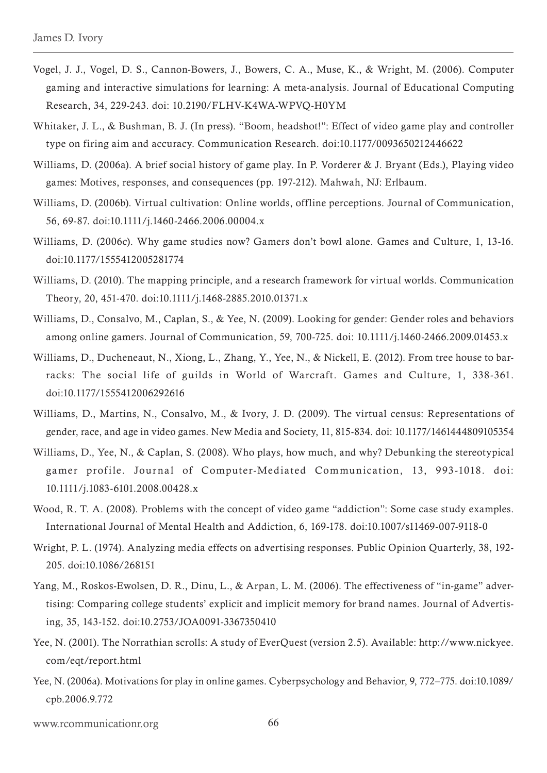- Vogel, J. J., Vogel, D. S., Cannon-Bowers, J., Bowers, C. A., Muse, K., & Wright, M. (2006). Computer gaming and interactive simulations for learning: A meta-analysis. Journal of Educational Computing Research, 34, 229-243. doi: 10.2190/FLHV-K4WA-WPVQ-H0YM
- Whitaker, J. L., & Bushman, B. J. (In press). "Boom, headshot!": Effect of video game play and controller type on firing aim and accuracy. Communication Research. doi:10.1177/0093650212446622
- Williams, D. (2006a). A brief social history of game play. In P. Vorderer & J. Bryant (Eds.), Playing video games: Motives, responses, and consequences (pp. 197-212). Mahwah, NJ: Erlbaum.
- Williams, D. (2006b). Virtual cultivation: Online worlds, offline perceptions. Journal of Communication, 56, 69-87. doi:10.1111/j.1460-2466.2006.00004.x
- Williams, D. (2006c). Why game studies now? Gamers don't bowl alone. Games and Culture, 1, 13-16. doi:10.1177/1555412005281774
- Williams, D. (2010). The mapping principle, and a research framework for virtual worlds. Communication Theory, 20, 451-470. doi:10.1111/j.1468-2885.2010.01371.x
- Williams, D., Consalvo, M., Caplan, S., & Yee, N. (2009). Looking for gender: Gender roles and behaviors among online gamers. Journal of Communication, 59, 700-725. doi: 10.1111/j.1460-2466.2009.01453.x
- Williams, D., Ducheneaut, N., Xiong, L., Zhang, Y., Yee, N., & Nickell, E. (2012). From tree house to barracks: The social life of guilds in World of Warcraft. Games and Culture, 1, 338-361. doi:10.1177/1555412006292616
- Williams, D., Martins, N., Consalvo, M., & Ivory, J. D. (2009). The virtual census: Representations of gender, race, and age in video games. New Media and Society, 11, 815-834. doi: 10.1177/1461444809105354
- Williams, D., Yee, N., & Caplan, S. (2008). Who plays, how much, and why? Debunking the stereotypical gamer profile. Journal of Computer-Mediated Communication, 13, 993-1018. doi: 10.1111/j.1083-6101.2008.00428.x
- Wood, R. T. A. (2008). Problems with the concept of video game "addiction": Some case study examples. International Journal of Mental Health and Addiction, 6, 169-178. doi:10.1007/s11469-007-9118-0
- Wright, P. L. (1974). Analyzing media effects on advertising responses. Public Opinion Quarterly, 38, 192- 205. doi:10.1086/268151
- Yang, M., Roskos-Ewolsen, D. R., Dinu, L., & Arpan, L. M. (2006). The effectiveness of "in-game" advertising: Comparing college students' explicit and implicit memory for brand names. Journal of Advertising, 35, 143-152. doi:10.2753/JOA0091-3367350410
- Yee, N. (2001). The Norrathian scrolls: A study of EverQuest (version 2.5). Available: http://www.nickyee. com/eqt/report.html
- Yee, N. (2006a). Motivations for play in online games. Cyberpsychology and Behavior, 9, 772–775. doi:10.1089/ cpb.2006.9.772

www.rcommunicationr.org 66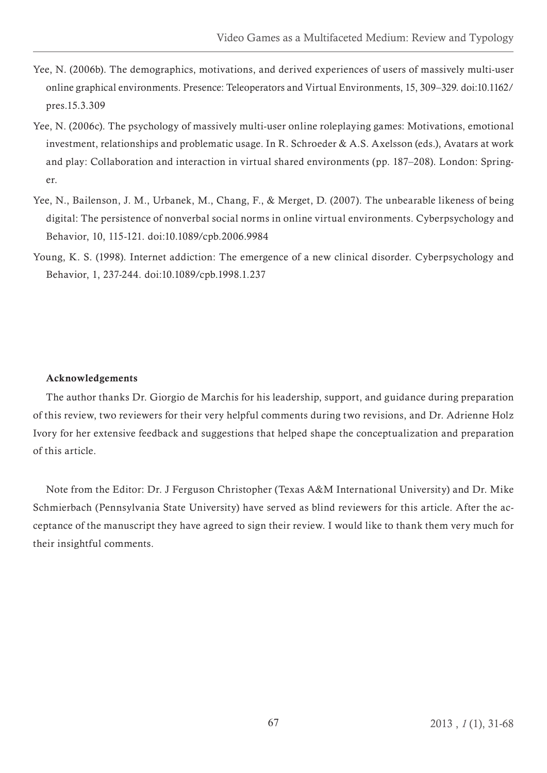- Yee, N. (2006b). The demographics, motivations, and derived experiences of users of massively multi-user online graphical environments. Presence: Teleoperators and Virtual Environments, 15, 309–329. doi:10.1162/ pres.15.3.309
- Yee, N. (2006c). The psychology of massively multi-user online roleplaying games: Motivations, emotional investment, relationships and problematic usage. In R. Schroeder & A.S. Axelsson (eds.), Avatars at work and play: Collaboration and interaction in virtual shared environments (pp. 187–208). London: Springer.
- Yee, N., Bailenson, J. M., Urbanek, M., Chang, F., & Merget, D. (2007). The unbearable likeness of being digital: The persistence of nonverbal social norms in online virtual environments. Cyberpsychology and Behavior, 10, 115-121. doi:10.1089/cpb.2006.9984
- Young, K. S. (1998). Internet addiction: The emergence of a new clinical disorder. Cyberpsychology and Behavior, 1, 237-244. doi:10.1089/cpb.1998.1.237

## Acknowledgements

The author thanks Dr. Giorgio de Marchis for his leadership, support, and guidance during preparation of this review, two reviewers for their very helpful comments during two revisions, and Dr. Adrienne Holz Ivory for her extensive feedback and suggestions that helped shape the conceptualization and preparation of this article.

Note from the Editor: Dr. J Ferguson Christopher (Texas A&M International University) and Dr. Mike Schmierbach (Pennsylvania State University) have served as blind reviewers for this article. After the acceptance of the manuscript they have agreed to sign their review. I would like to thank them very much for their insightful comments.